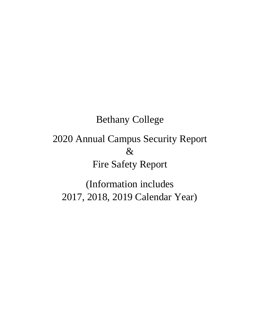Bethany College 2020 Annual Campus Security Report & Fire Safety Report

(Information includes 2017, 2018, 2019 Calendar Year)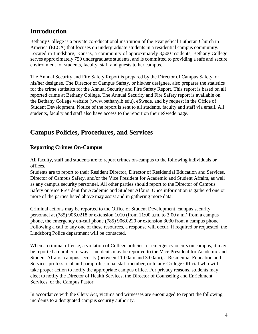## **Introduction**

Bethany College is a private co-educational institution of the Evangelical Lutheran Church in America (ELCA) that focuses on undergraduate students in a residential campus community. Located in Lindsborg, Kansas, a community of approximately 3,500 residents, Bethany College serves approximately 750 undergraduate students, and is committed to providing a safe and secure environment for students, faculty, staff and guests to her campus.

The Annual Security and Fire Safety Report is prepared by the Director of Campus Safety, or his/her designee. The Director of Campus Safety, or his/her designee, also prepares the statistics for the crime statistics for the Annual Security and Fire Safety Report. This report is based on all reported crime at Bethany College. The Annual Security and Fire Safety report is available on the Bethany College website [\(www.bethanylb.edu\),](http://www.bethanylb.edu/) eSwede, and by request in the Office of Student Development. Notice of the report is sent to all students, faculty and staff via email. All students, faculty and staff also have access to the report on their eSwede page.

# **Campus Policies, Procedures, and Services**

## **Reporting Crimes On-Campus**

All faculty, staff and students are to report crimes on-campus to the following individuals or offices.

Students are to report to their Resident Director, Director of Residential Education and Services, Director of Campus Safety, and/or the Vice President for Academic and Student Affairs, as well as any campus security personnel. All other parties should report to the Director of Campus Safety or Vice President for Academic and Student Affairs. Once information is gathered one or more of the parties listed above may assist and in gathering more data.

Criminal actions may be reported to the Office of Student Development, campus security personnel at (785) 906.0218 or extension 1010 (from 11:00 a.m. to 3:00 a.m.) from a campus phone, the emergency on-call phone (785) 906.0220 or extension 3030 from a campus phone. Following a call to any one of these resources, a response will occur. If required or requested, the Lindsborg Police department will be contacted.

When a criminal offense, a violation of College policies, or emergency occurs on campus, it may be reported a number of ways. Incidents may be reported to the Vice President for Academic and Student Affairs, campus security (between 11:00am and 3:00am), a Residential Education and Services professional and paraprofessional staff member, or to any College Official who will take proper action to notify the appropriate campus office. For privacy reasons, students may elect to notify the Director of Health Services, the Director of Counseling and Enrichment Services, or the Campus Pastor.

In accordance with the Clery Act, victims and witnesses are encouraged to report the following incidents to a designated campus security authority.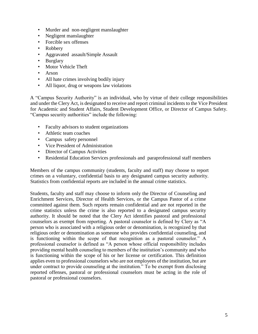- Murder and non-negligent manslaughter
- Negligent manslaughter
- Forcible sex offenses
- Robbery
- Aggravated assault/Simple Assault
- Burglary
- Motor Vehicle Theft
- Arson
- All hate crimes involving bodily injury
- All liquor, drug or weapons law violations

A "Campus Security Authority" is an individual, who by virtue of their college responsibilities and under the Clery Act, is designated to receive and report criminal incidents to the Vice President for Academic and Student Affairs, Student Development Office, or Director of Campus Safety. "Campus security authorities" include the following:

- Faculty advisors to student organizations
- Athletic team coaches
- Campus safety personnel
- Vice President of Administration
- Director of Campus Activities
- Residential Education Services professionals and paraprofessional staff members

Members of the campus community (students, faculty and staff) may choose to report crimes on a voluntary, confidential basis to any designated campus security authority. Statistics from confidential reports are included in the annual crime statistics.

Students, faculty and staff may choose to inform only the Director of Counseling and Enrichment Services, Director of Health Services, or the Campus Pastor of a crime committed against them. Such reports remain confidential and are not reported in the crime statistics unless the crime is also reported to a designated campus security authority. It should be noted that the Clery Act identifies pastoral and professional counselors as exempt from reporting. A pastoral counselor is defined by Clery as "A person who is associated with a religious order or denomination, is recognized by that religious order or denomination as someone who provides confidential counseling, and is functioning within the scope of that recognition as a pastoral counselor." A professional counselor is defined as "A person whose official responsibility includes providing mental health counseling to members of the institution's community and who is functioning within the scope of his or her license or certification. This definition applies even to professional counselors who are not employees of the institution, but are under contract to provide counseling at the institution." To be exempt from disclosing reported offenses, pastoral or professional counselors must be acting in the role of pastoral or professional counselors.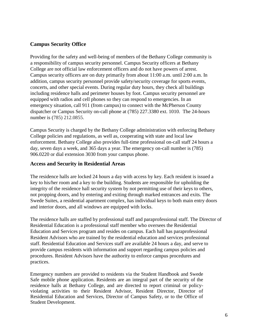### **Campus Security Office**

Providing for the safety and well-being of members of the Bethany College community is a responsibility of campus security personnel. Campus Security officers at Bethany College are not official law enforcement officers and do not have powers of arrest. Campus security officers are on duty primarily from about 11:00 a.m. until 2:00 a.m. In addition, campus security personnel provide safety/security coverage for sports events, concerts, and other special events. During regular duty hours, they check all buildings including residence halls and perimeter houses by foot. Campus security personnel are equipped with radios and cell phones so they can respond to emergencies. In an emergency situation, call 911 (from campus) to connect with the McPherson County dispatcher or Campus Security on-call phone at (785) 227.3380 ext. 1010. The 24-hours number is (785) 212.0855.

Campus Security is charged by the Bethany College administration with enforcing Bethany College policies and regulations, as well as, cooperating with state and local law enforcement. Bethany College also provides full-time professional on-call staff 24 hours a day, seven days a week, and 365 days a year. The emergency on-call number is (785) 906.0220 or dial extension 3030 from your campus phone.

#### **Access and Security in Residential Areas**

The residence halls are locked 24 hours a day with access by key. Each resident is issued a key to his/her room and a key to the building. Students are responsible for upholding the integrity of the residence hall security system by not permitting use of their keys to others, not propping doors, and by entering and exiting through marked entrances and exits. The Swede Suites, a residential apartment complex, has individual keys to both main entry doors and interior doors, and all windows are equipped with locks.

The residence halls are staffed by professional staff and paraprofessional staff. The Director of Residential Education is a professional staff member who oversees the Residential Education and Services program and resides on campus. Each hall has paraprofessional Resident Advisors who are trained by the residential education and services professional staff. Residential Education and Services staff are available 24 hours a day, and serve to provide campus residents with information and support regarding campus policies and procedures. Resident Advisors have the authority to enforce campus procedures and practices.

Emergency numbers are provided to residents via the Student Handbook and Swede Safe mobile phone application. Residents are an integral part of the security of the residence halls at Bethany College, and are directed to report criminal or policyviolating activities to their Resident Advisor, Resident Director, Director of Residential Education and Services, Director of Campus Safety, or to the Office of Student Development.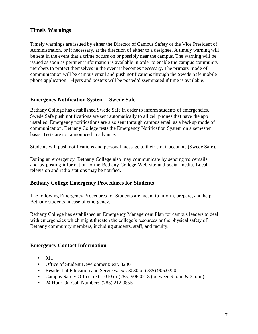## **Timely Warnings**

Timely warnings are issued by either the Director of Campus Safety or the Vice President of Administration, or if necessary, at the direction of either to a designee. A timely warning will be sent in the event that a crime occurs on or possibly near the campus. The warning will be issued as soon as pertinent information is available in order to enable the campus community members to protect themselves in the event it becomes necessary. The primary mode of communication will be campus email and push notifications through the Swede Safe mobile phone application. Flyers and posters will be posted/disseminated if time is available.

#### **Emergency Notification System – Swede Safe**

Bethany College has established Swede Safe in order to inform students of emergencies. Swede Safe push notifications are sent automatically to all cell phones that have the app installed. Emergency notifications are also sent through campus email as a backup mode of communication. Bethany College tests the Emergency Notification System on a semester basis. Tests are not announced in advance.

Students will push notifications and personal message to their email accounts (Swede Safe).

During an emergency, Bethany College also may communicate by sending voicemails and by posting information to the Bethany College Web site and social media. Local television and radio stations may be notified.

#### **Bethany College Emergency Procedures for Students**

The following Emergency Procedures for Students are meant to inform, prepare, and help Bethany students in case of emergency.

Bethany College has established an Emergency Management Plan for campus leaders to deal with emergencies which might threaten the college's resources or the physical safety of Bethany community members, including students, staff, and faculty.

#### **Emergency Contact Information**

- 911
- Office of Student Development: ext. 8230
- Residential Education and Services: ext. 3030 or (785) 906.0220
- Campus Safety Office: ext. 1010 or  $(785)$  906.0218 (between 9 p.m. & 3 a.m.)
- 24 Hour On-Call Number: (785) 212.0855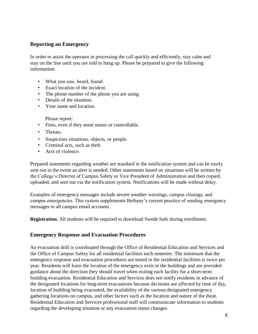## **Reporting an Emergency**

In order to assist the operator in processing the call quickly and efficiently, stay calm and stay on the line until you are told to hang up. Please be prepared to give the following information:

- What you saw, heard, found.
- Exact location of the incident.
- The phone number of the phone you are using.
- Details of the situation.
- Your name and location.

Please report:

- Fires, even if they seem minor or controllable.
- Threats.
- Suspicious situations, objects, or people.
- Criminal acts, such as theft.
- Acts of violence.

Prepared statements regarding weather are standard in the notification system and can be easily sent out in the event an alert is needed. Other statements based on situations will be written by the College's Director of Campus Safety or Vice President of Administration and then copied, uploaded, and sent out via the notification system. Notifications will be made without delay.

Examples of emergency messages include severe weather warnings, campus closings, and campus emergencies. This system supplements Bethany's current practice of sending emergency messages to all campus email accounts.

**Registration.** All students will be required to download Swede Safe during enrollment.

#### **Emergency Response and Evacuation Procedures**

An evacuation drill is coordinated through the Office of Residential Education and Services and the Office of Campus Safety for all residential facilities each semester. The minimum that the emergency response and evacuation procedures are tested in the residential facilities is twice per year. Residents will learn the location of the emergency exits in the buildings and are provided guidance about the direction they should travel when exiting each facility for a short-term building evacuation. Residential Education and Services does not notify residents in advance of the designated locations for long-term evacuations because decisions are affected by time of day, location of building being evacuated, the availability of the various designated emergency gathering locations on campus, and other factors such as the location and nature of the theat. Residential Education and Services professional staff will communicate information to students regarding the developing situation or any evacuation status changes.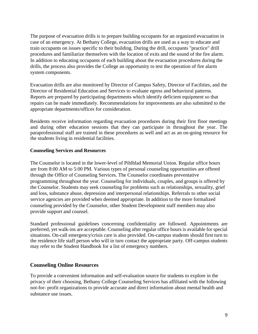The purpose of evacuation drills is to prepare building occupants for an organized evacuation in case of an emergency. At Bethany College, evacuation drills are used as a way to educate and train occupants on issues specific to their building. During the drill, occupants "practice" drill procedures and familiarize themselves with the location of exits and the sound of the fire alarm. In addition to educating occupants of each building about the evacuation procedures during the drills, the process also provides the College an opportunity to test the operation of fire alarm system components.

Evacuation drills are also monitored by Director of Campus Safety, Director of Facilities, and the Director of Residential Education and Services to evaluate egress and behavioral patterns. Reports are prepared by participating departments which identify deficient equipment so that repairs can be made immediately. Recommendations for improvements are also submitted to the appropriate departments/offices for consideration.

Residents receive information regarding evacuation procedures during their first floor meetings and during other education sessions that they can participate in throughout the year. The paraprofessional staff are trained in these procedures as well and act as an on-going resource for the students living in residential facilities.

#### **Counseling Services and Resources**

The Counselor is located in the lower-level of Pihlblad Memorial Union. Regular office hours are from 8:00 AM to 5:00 PM. Various types of personal counseling opportunities are offered through the Office of Counseling Services. The Counselor coordinates preventative programming throughout the year. Counseling for individuals, couples, and groups is offered by the Counselor. Students may seek counseling for problems such as relationships, sexuality, grief and loss, substance abuse, depression and interpersonal relationships. Referrals to other social service agencies are provided when deemed appropriate. In addition to the more formalized counseling provided by the Counselor, other Student Development staff members may also provide support and counsel.

Standard professional guidelines concerning confidentiality are followed. Appointments are preferred, yet walk-ins are acceptable. Counseling after regular office hours is available for special situations. On-call emergency/crisis care is also provided. On-campus students should first turn to the residence life staff person who will in turn contact the appropriate party. Off-campus students may refer to the Student Handbook for a list of emergency numbers.

#### **Counseling Online Resources**

To provide a convenient information and self-evaluation source for students to explore in the privacy of their choosing, Bethany College Counseling Services has affiliated with the following not-for- profit organizations to provide accurate and direct information about mental health and substance use issues.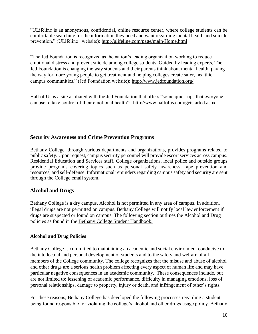"ULifeline is an anonymous, confidential, online resource center, where college students can be comfortable searching for the information they need and want regarding mental health and suicide prevention." (ULifeline website): <http://ulifeline.com/page/main/Home.html>

"The Jed Foundation is recognized as the nation's leading organization working to reduce emotional distress and prevent suicide among college students. Guided by leading experts, The Jed Foundation is changing the way students and their parents think about mental health, paving the way for more young people to get treatment and helping colleges create safer, healthier campus communities." (Jed Foundation website):<http://www.jedfoundation.org/>

Half of Us is a site affiliated with the Jed Foundation that offers "some quick tips that everyone can use to take control of their emotional health": [http://www.halfofus.com/getstarted.aspx.](http://www.halfofus.com/getstarted.aspx)

## **Security Awareness and Crime Prevention Programs**

Bethany College, through various departments and organizations, provides programs related to public safety. Upon request, campus security personnel will provide escort services across campus. Residential Education and Services staff, College organizations, local police and outside groups provide programs covering topics such as personal safety awareness, rape prevention and resources, and self-defense. Informational reminders regarding campus safety and security are sent through the College email system.

## **Alcohol and Drugs**

Bethany College is a dry campus. Alcohol is not permitted in any area of campus. In addition, illegal drugs are not permitted on campus. Bethany College will notify local law enforcement if drugs are suspected or found on campus. The following section outlines the Alcohol and Drug policies as found in the Bethany College Student Handbook.

## **Alcohol and Drug Policies**

Bethany College is committed to maintaining an academic and social environment conducive to the intellectual and personal development of students and to the safety and welfare of all members of the College community. The college recognizes that the misuse and abuse of alcohol and other drugs are a serious health problem affecting every aspect of human life and may have particular negative consequences in an academic community. These consequences include, but are not limited to: lessening of academic performance, difficulty in managing emotions, loss of personal relationships, damage to property, injury or death, and infringement of other's rights.

For these reasons, Bethany College has developed the following processes regarding a student being found responsible for violating the college's alcohol and other drugs usage policy. Bethany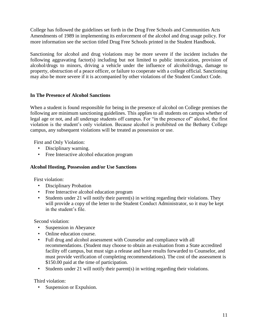College has followed the guidelines set forth in the Drug Free Schools and Communities Acts Amendments of 1989 in implementing its enforcement of the alcohol and drug usage policy. For more information see the section titled Drug Free Schools printed in the Student Handbook.

Sanctioning for alcohol and drug violations may be more severe if the incident includes the following aggravating factor(s) including but not limited to public intoxication, provision of alcohol/drugs to minors, driving a vehicle under the influence of alcohol/drugs, damage to property, obstruction of a peace officer, or failure to cooperate with a college official. Sanctioning may also be more severe if it is accompanied by other violations of the Student Conduct Code.

### **In The Presence of Alcohol Sanctions**

When a student is found responsible for being in the presence of alcohol on College premises the following are minimum sanctioning guidelines. This applies to all students on campus whether of legal age or not, and all underage students off campus. For "in the presence of" alcohol, the first violation is the student's only violation. Because alcohol is prohibited on the Bethany College campus, any subsequent violations will be treated as possession or use.

First and Only Violation:

- Disciplinary warning.
- Free Interactive alcohol education program

#### **Alcohol Hosting, Possession and/or Use Sanctions**

First violation:

- Disciplinary Probation
- Free Interactive alcohol education program
- Students under 21 will notify their parent(s) in writing regarding their violations. They will provide a copy of the letter to the Student Conduct Administrator, so it may be kept in the student's file.

Second violation:

- Suspension in Abeyance
- Online education course.
- Full drug and alcohol assessment with Counselor and compliance with all recommendations. (Student may choose to obtain an evaluation from a State accredited facility off campus, but must sign a release and have results forwarded to Counselor, and must provide verification of completing recommendations). The cost of the assessment is \$150.00 paid at the time of participation.
- Students under 21 will notify their parent(s) in writing regarding their violations.

Third violation:

• Suspension or Expulsion.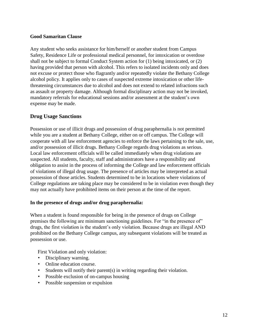#### **Good Samaritan Clause**

Any student who seeks assistance for him/herself or another student from Campus Safety, Residence Life or professional medical personnel, for intoxication or overdose shall not be subject to formal Conduct System action for (1) being intoxicated, or (2) having provided that person with alcohol. This refers to isolated incidents only and does not excuse or protect those who flagrantly and/or repeatedly violate the Bethany College alcohol policy. It applies only to cases of suspected extreme intoxication or other lifethreatening circumstances due to alcohol and does not extend to related infractions such as assault or property damage. Although formal disciplinary action may not be invoked, mandatory referrals for educational sessions and/or assessment at the student's own expense may be made.

### **Drug Usage Sanctions**

Possession or use of illicit drugs and possession of drug paraphernalia is not permitted while you are a student at Bethany College, either on or off campus. The College will cooperate with all law enforcement agencies to enforce the laws pertaining to the sale, use, and/or possession of illicit drugs. Bethany College regards drug violations as serious. Local law enforcement officials will be called immediately when drug violations are suspected. All students, faculty, staff and administrators have a responsibility and obligation to assist in the process of informing the College and law enforcement officials of violations of illegal drug usage. The presence of articles may be interpreted as actual possession of those articles. Students determined to be in locations where violations of College regulations are taking place may be considered to be in violation even though they may not actually have prohibited items on their person at the time of the report.

#### **In the presence of drugs and/or drug paraphernalia:**

When a student is found responsible for being in the presence of drugs on College premises the following are minimum sanctioning guidelines. For "in the presence of" drugs, the first violation is the student's only violation. Because drugs are illegal AND prohibited on the Bethany College campus, any subsequent violations will be treated as possession or use.

First Violation and only violation:

- Disciplinary warning.
- Online education course.
- Students will notify their parent(s) in writing regarding their violation.
- Possible exclusion of on-campus housing
- Possible suspension or expulsion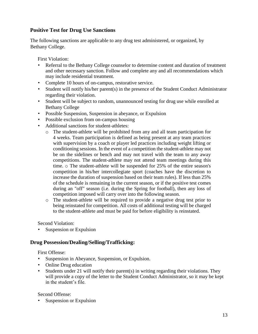## **Positive Test for Drug Use Sanctions**

The following sanctions are applicable to any drug test administered, or organized, by Bethany College.

First Violation:

- Referral to the Bethany College counselor to determine content and duration of treatment and other necessary sanction. Follow and complete any and all recommendations which may include residential treatment.
- Complete 10 hours of on-campus, restorative service.
- Student will notify his/her parent(s) in the presence of the Student Conduct Administrator regarding their violation.
- Student will be subject to random, unannounced testing for drug use while enrolled at Bethany College
- Possible Suspension, Suspension in abeyance, or Expulsion
- Possible exclusion from on-campus housing
- Additional sanctions for student-athletes:
	- o The student-athlete will be prohibited from any and all team participation for 4 weeks. Team participation is defined as being present at any team practices with supervision by a coach or player led practices including weight lifting or conditioning sessions. In the event of a competition the student-athlete may not be on the sidelines or bench and may not travel with the team to any away competitions. The student-athlete may not attend team meetings during this time. o The student-athlete will be suspended for 25% of the entire season's competition in his/her intercollegiate sport (coaches have the discretion to increase the duration of suspension based on their team rules). If less than 25% of the schedule is remaining in the current season, or if the positive test comes during an "off" season (i.e. during the Spring for football), then any loss of competition imposed will carry over into the following season.
	- o The student-athlete will be required to provide a negative drug test prior to being reinstated for competition. All costs of additional testing will be charged to the student-athlete and must be paid for before eligibility is reinstated.

Second Violation:

Suspension or Expulsion

#### **Drug Possession/Dealing/Selling/Trafficking:**

First Offense:

- Suspension in Abeyance, Suspension, or Expulsion.
- Online Drug education
- Students under 21 will notify their parent(s) in writing regarding their violations. They will provide a copy of the letter to the Student Conduct Administrator, so it may be kept in the student's file.

Second Offense:

Suspension or Expulsion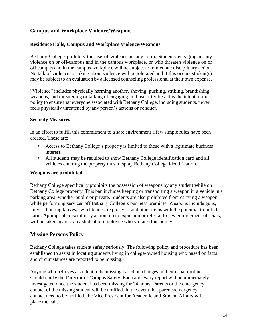## **Campus and Workplace Violence/Weapons**

#### **Residence Halls, Campus and Workplace Violence/Weapons**

Bethany College prohibits the use of violence in any form. Students engaging in any violence on or off-campus and in the campus workplace, or who threaten violence on or off campus and in the campus workplace will be subject to immediate disciplinary action. No talk of violence or joking about violence will be tolerated and if this occurs student(s) may be subject to an evaluation by a licensed counseling professional at their own expense.

"Violence" includes physically harming another, shoving, pushing, striking, brandishing weapons, and threatening or talking of engaging in those activities. It is the intent of this policy to ensure that everyone associated with Bethany College, including students, never feels physically threatened by any person's actions or conduct.

#### **Security Measures**

In an effort to fulfill this commitment to a safe environment a few simple rules have been created. These are:

- Access to Bethany College's property is limited to those with a legitimate business interest.
- All students may be required to show Bethany College identification card and all vehicles entering the property must display Bethany College identification.

#### **Weapons are prohibited**

Bethany College specifically prohibits the possession of weapons by any student while on Bethany College property. This ban includes keeping or transporting a weapon in a vehicle in a parking area, whether public or private. Students are also prohibited from carrying a weapon while performing services off Bethany College's business premises. Weapons include guns, knives, hunting knives, switchblades, explosives, and other items with the potential to inflict harm. Appropriate disciplinary action, up to expulsion or referral to law enforcement officials, will be taken against any student or employee who violates this policy.

#### **Missing Persons Policy**

Bethany College takes student safety seriously. The following policy and procedure has been established to assist in locating students living in college-owned housing who based on facts and circumstances are reported to be missing.

Anyone who believes a student to be missing based on changes in their usual routine should notify the Director of Campus Safety. Each and every report will be immediately investigated once the student has been missing for 24 hours. Parents or the emergency contact of the missing student will be notified. In the event that parents/emergency contact need to be notified, the Vice President for Academic and Student Affairs will place the call.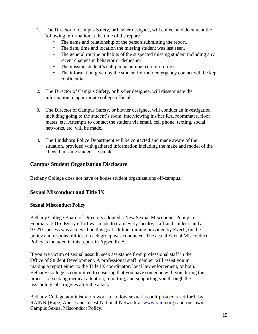- 1. The Director of Campus Safety, or his/her designee, will collect and document the following information at the time of the report:
	- The name and relationship of the person submitting the report.
	- The date, time and location the missing student was last seen.
	- The general routine or habits of the suspected missing student including any recent changes in behavior or demeanor.
	- The missing student's cell phone number (if not on file).
	- The information given by the student for their emergency contact will be kept confidential.
- 2. The Director of Campus Safety, or his/her designee, will disseminate the information to appropriate college officials.
- 3. The Director of Campus Safety, or his/her designee, will conduct an investigation including going to the student's room, interviewing his/her RA, roommates, floor mates, etc. Attempts to contact the student via email, cell phone, texting, social networks, etc. will be made.
- 4. The Lindsborg Police Department will be contacted and made aware of the situation, provided with gathered information including the make and model of the alleged missing student's vehicle.

## **Campus Student Organization Disclosure**

Bethany College does not have or house student organizations off-campus.

## **Sexual Misconduct and Title IX**

#### **Sexual Misconduct Policy**

Bethany College Board of Directors adopted a New Sexual Misconduct Policy in February, 2015. Every effort was made to train every faculty, staff and student, and a 93.2% success was achieved on this goal. Online training provided by Everfi, on the policy and responsibilities of each group was conducted. The actual Sexual Misconduct Policy is included in this report in Appendix A.

If you are victim of sexual assault, seek assistance from professional staff in the Office of Student Development. A professional staff member will assist you in making a report either to the Title IX coordinator, local law enforcement, or both. Bethany College is committed to ensuring that you have someone with you during the process of seeking medical attention, reporting, and supporting you through the psychological struggles after the attack.

Bethany College administrators work to follow sexual assault protocols set forth by RAINN (Rape, Abuse and Incest National Network at [www.rainn.org\)](http://www.rainn.org/) and our own Campus Sexual Misconduct Policy.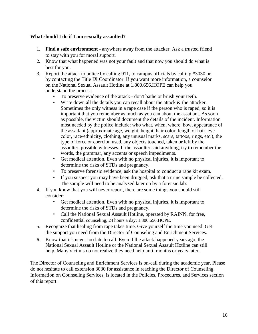#### **What should I do if I am sexually assaulted?**

- 1. **Find a safe environment**  anywhere away from the attacker. Ask a trusted friend to stay with you for moral support.
- 2. Know that what happened was not your fault and that now you should do what is best for you.
- 3. Report the attack to police by calling 911, to campus officials by calling #3030 or by contacting the Title IX Coordinator. If you want more information, a counselor on the National Sexual Assault Hotline at 1.800.656.HOPE can help you understand the process.
	- To preserve evidence of the attack don't bathe or brush your teeth.
	- Write down all the details you can recall about the attack  $\&$  the attacker. Sometimes the only witness in a rape case if the person who is raped, so it is important that you remember as much as you can about the assailant. As soon as possible, the victim should document the details of the incident. Information most needed by the police include: who what, when, where, how, appearance of the assailant (approximate age, weight, height, hair color, length of hair, eye color, race/ethnicity, clothing, any unusual marks, scars, tattoos, rings, etc.), the type of force or coercion used, any objects touched, taken or left by the assaulter, possible witnesses. If the assaulter said anything, try to remember the words, the grammar, any accents or speech impediments.
	- Get medical attention. Even with no physical injuries, it is important to determine the risks of STDs and pregnancy.
	- To preserve forensic evidence, ask the hospital to conduct a rape kit exam.
	- If you suspect you may have been drugged, ask that a urine sample be collected. The sample will need to be analyzed later on by a forensic lab.
- 4. If you know that you will never report, there are some things you should still consider:
	- Get medical attention. Even with no physical injuries, it is important to determine the risks of STDs and pregnancy.
	- Call the National Sexual Assault Hotline, operated by RAINN, for free, confidential counseling, 24 hours a day: 1.800.656.HOPE.
- 5. Recognize that healing from rape takes time. Give yourself the time you need. Get the support you need from the Director of Counseling and Enrichment Services.
- 6. Know that it's never too late to call. Even if the attack happened years ago, the National Sexual Assault Hotline or the National Sexual Assault Hotline can still help. Many victims do not realize they need help until months or years later.

The Director of Counseling and Enrichment Services is on-call during the academic year. Please do not hesitate to call extension 3030 for assistance in reaching the Director of Counseling. Information on Counseling Services, is located in the Policies, Procedures, and Services section of this report.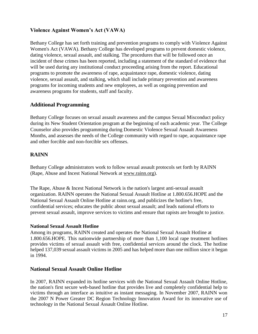## **Violence Against Women's Act (VAWA)**

Bethany College has set forth training and prevention programs to comply with Violence Against Women's Act (VAWA). Bethany College has developed programs to prevent domestic violence, dating violence, sexual assault, and stalking. The procedures that will be followed once an incident of these crimes has been reported, including a statement of the standard of evidence that will be used during any institutional conduct proceeding arising from the report. Educational programs to promote the awareness of rape, acquaintance rape, domestic violence, dating violence, sexual assault, and stalking, which shall include primary prevention and awareness programs for incoming students and new employees, as well as ongoing prevention and awareness programs for students, staff and faculty.

## **Additional Programming**

Bethany College focuses on sexual assault awareness and the campus Sexual Misconduct policy during its New Student Orientation program at the beginning of each academic year. The College Counselor also provides programming during Domestic Violence Sexual Assault Awareness Months, and assesses the needs of the College community with regard to rape, acquaintance rape and other forcible and non-forcible sex offenses.

## **RAINN**

Bethany College administrators work to follow sexual assault protocols set forth by RAINN (Rape, Abuse and Incest National Network at [www.rainn.org\).](http://www.rainn.org/)

The Rape, Abuse & Incest National Network is the nation's largest anti-sexual assault organization. RAINN operates the National Sexual Assault Hotline at 1.800.656.HOPE and the National Sexual Assault Online Hotline at rainn.org, and publicizes the hotline's free, confidential services; educates the public about sexual assault; and leads national efforts to prevent sexual assault, improve services to victims and ensure that rapists are brought to justice.

## **National Sexual Assault Hotline**

Among its programs, RAINN created and operates the National Sexual Assault Hotline at 1.800.656.HOPE. This nationwide partnership of more than 1,100 local rape treatment hotlines provides victims of sexual assault with free, confidential services around the clock. The hotline helped 137,039 sexual assault victims in 2005 and has helped more than one million since it began in 1994.

## **National Sexual Assault Online Hotline**

In 2007, RAINN expanded its hotline services with the National Sexual Assault Online Hotline, the nation's first secure web-based hotline that provides live and completely confidential help to victims through an interface as intuitive as instant messaging. In November 2007, RAINN won the 2007 N Power Greater DC Region Technology Innovation Award for its innovative use of technology in the National Sexual Assault Online Hotline.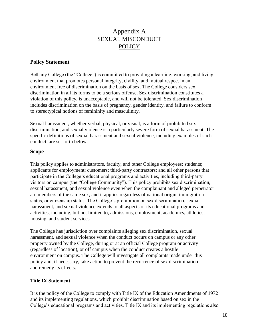## Appendix A SEXUAL MISCONDUCT POLICY

## **Policy Statement**

Bethany College (the "College") is committed to providing a learning, working, and living environment that promotes personal integrity, civility, and mutual respect in an environment free of discrimination on the basis of sex. The College considers sex discrimination in all its forms to be a serious offense. Sex discrimination constitutes a violation of this policy, is unacceptable, and will not be tolerated. Sex discrimination includes discrimination on the basis of pregnancy, gender identity, and failure to conform to stereotypical notions of femininity and masculinity.

Sexual harassment, whether verbal, physical, or visual, is a form of prohibited sex discrimination, and sexual violence is a particularly severe form of sexual harassment. The specific definitions of sexual harassment and sexual violence, including examples of such conduct, are set forth below.

#### **Scope**

This policy applies to administrators, faculty, and other College employees; students; applicants for employment; customers; third-party contractors; and all other persons that participate in the College's educational programs and activities, including third-party visitors on campus (the "College Community"). This policy prohibits sex discrimination, sexual harassment, and sexual violence even when the complainant and alleged perpetrator are members of the same sex, and it applies regardless of national origin, immigration status, or citizenship status. The College's prohibition on sex discrimination, sexual harassment, and sexual violence extends to all aspects of its educational programs and activities, including, but not limited to, admissions, employment, academics, athletics, housing, and student services.

The College has jurisdiction over complaints alleging sex discrimination, sexual harassment, and sexual violence when the conduct occurs on campus or any other property owned by the College, during or at an official College program or activity (regardless of location), or off campus when the conduct creates a hostile environment on campus. The College will investigate all complaints made under this policy and, if necessary, take action to prevent the recurrence of sex discrimination and remedy its effects.

#### **Title IX Statement**

It is the policy of the College to comply with Title IX of the Education Amendments of 1972 and its implementing regulations, which prohibit discrimination based on sex in the College's educational programs and activities. Title IX and its implementing regulations also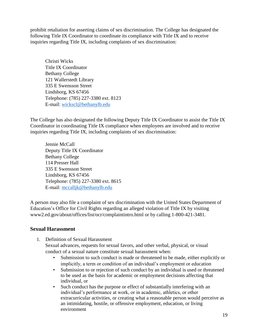prohibit retaliation for asserting claims of sex discrimination. The College has designated the following Title IX Coordinator to coordinate its compliance with Title IX and to receive inquiries regarding Title IX, including complaints of sex discrimination:

Christi Wicks Title IX Coordinator Bethany College 121 Wallerstedt Library 335 E Swensson Street Lindsborg, KS 67456 Telephone: (785) 227-3380 ext. 8123 E-mail: wickscl@bethanylb.edu

The College has also designated the following Deputy Title IX Coordinator to assist the Title IX Coordinator in coordinating Title IX compliance when employees are involved and to receive inquiries regarding Title IX, including complaints of sex discrimination:

Jennie McCall Deputy Title IX Coordinator Bethany College 114 Presser Hall 335 E Swensson Street Lindsborg, KS 67456 Telephone: (785) 227-3380 ext. 8615 E-mail: mccalljk@bethanylb.edu

A person may also file a complaint of sex discrimination with the United States Department of Education's Office for Civil Rights regarding an alleged violation of Title IX by visiting www2.ed.gov/about/offices/list/ocr/complaintintro.html or by calling 1-800-421-3481.

## **Sexual Harassment**

- 1. Definition of Sexual Harassment Sexual advances, requests for sexual favors, and other verbal, physical, or visual conduct of a sexual nature constitute sexual harassment when:
	- Submission to such conduct is made or threatened to be made, either explicitly or implicitly, a term or condition of an individual's employment or education
	- Submission to or rejection of such conduct by an individual is used or threatened to be used as the basis for academic or employment decisions affecting that individual, or
	- Such conduct has the purpose or effect of substantially interfering with an individual's performance at work, or in academic, athletics, or other extracurricular activities, or creating what a reasonable person would perceive as an intimidating, hostile, or offensive employment, education, or living environment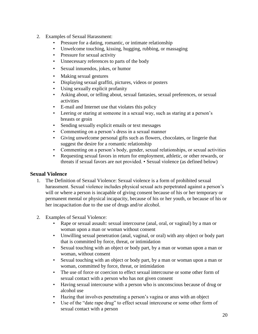- 2. Examples of Sexual Harassment:
	- Pressure for a dating, romantic, or intimate relationship
	- Unwelcome touching, kissing, hugging, rubbing, or massaging
	- Pressure for sexual activity
	- Unnecessary references to parts of the body
	- Sexual innuendos, jokes, or humor
	- Making sexual gestures
	- Displaying sexual graffiti, pictures, videos or posters
	- Using sexually explicit profanity
	- Asking about, or telling about, sexual fantasies, sexual preferences, or sexual activities
	- E-mail and Internet use that violates this policy
	- Leering or staring at someone in a sexual way, such as staring at a person's breasts or groin
	- Sending sexually explicit emails or text messages
	- Commenting on a person's dress in a sexual manner
	- Giving unwelcome personal gifts such as flowers, chocolates, or lingerie that suggest the desire for a romantic relationship
	- Commenting on a person's body, gender, sexual relationships, or sexual activities
	- Requesting sexual favors in return for employment, athletic, or other rewards, or threats if sexual favors are not provided. • Sexual violence (as defined below)

#### **Sexual Violence**

- 1. The Definition of Sexual Violence: Sexual violence is a form of prohibited sexual harassment. Sexual violence includes physical sexual acts perpetrated against a person's will or where a person is incapable of giving consent because of his or her temporary or permanent mental or physical incapacity, because of his or her youth, or because of his or her incapacitation due to the use of drugs and/or alcohol.
- 2. Examples of Sexual Violence:
	- Rape or sexual assault: sexual intercourse (anal, oral, or vaginal) by a man or woman upon a man or woman without consent
	- Unwilling sexual penetration (anal, vaginal, or oral) with any object or body part that is committed by force, threat, or intimidation
	- Sexual touching with an object or body part, by a man or woman upon a man or woman, without consent
	- Sexual touching with an object or body part, by a man or woman upon a man or woman, committed by force, threat, or intimidation
	- The use of force or coercion to effect sexual intercourse or some other form of sexual contact with a person who has not given consent
	- Having sexual intercourse with a person who is unconscious because of drug or alcohol use
	- Hazing that involves penetrating a person's vagina or anus with an object
	- Use of the "date rape drug" to effect sexual intercourse or some other form of sexual contact with a person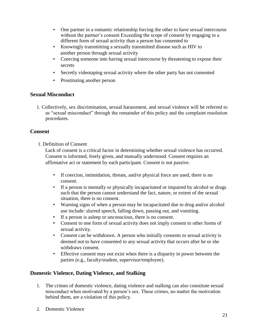- One partner in a romantic relationship forcing the other to have sexual intercourse without the partner's consent Exceeding the scope of consent by engaging in a different form of sexual activity than a person has consented to
- Knowingly transmitting a sexually transmitted disease such as HIV to another person through sexual activity
- Coercing someone into having sexual intercourse by threatening to expose their secrets
- Secretly videotaping sexual activity where the other party has not consented
- Prostituting another person

## **Sexual Misconduct**

1. Collectively, sex discrimination, sexual harassment, and sexual violence will be referred to as "sexual misconduct" through the remainder of this policy and the complaint resolution procedures.

## **Consent**

1. Definition of Consent

Lack of consent is a critical factor in determining whether sexual violence has occurred. Consent is informed, freely given, and mutually understood. Consent requires an affirmative act or statement by each participant. Consent is not passive.

- If coercion, intimidation, threats, and/or physical force are used, there is no consent.
- If a person is mentally or physically incapacitated or impaired by alcohol or drugs such that the person cannot understand the fact, nature, or extent of the sexual situation, there is no consent.
- Warning signs of when a person may be incapacitated due to drug and/or alcohol use include: slurred speech, falling down, passing out, and vomiting.
- If a person is asleep or unconscious, there is no consent.
- Consent to one form of sexual activity does not imply consent to other forms of sexual activity.
- Consent can be withdrawn. A person who initially consents to sexual activity is deemed not to have consented to any sexual activity that occurs after he or she withdraws consent.
- Effective consent may not exist when there is a disparity in power between the parties (e.g., faculty/student, supervisor/employee).

## **Domestic Violence, Dating Violence, and Stalking**

- 1. The crimes of domestic violence, dating violence and stalking can also constitute sexual misconduct when motivated by a person's sex. These crimes, no matter the motivation behind them, are a violation of this policy.
- 2. Domestic Violence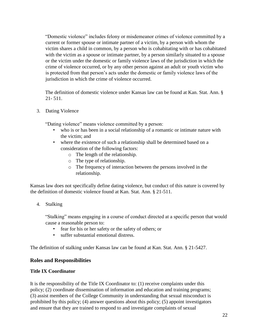"Domestic violence" includes felony or misdemeanor crimes of violence committed by a current or former spouse or intimate partner of a victim, by a person with whom the victim shares a child in common, by a person who is cohabitating with or has cohabitated with the victim as a spouse or intimate partner, by a person similarly situated to a spouse or the victim under the domestic or family violence laws of the jurisdiction in which the crime of violence occurred, or by any other person against an adult or youth victim who is protected from that person's acts under the domestic or family violence laws of the jurisdiction in which the crime of violence occurred.

The definition of domestic violence under Kansas law can be found at Kan. Stat. Ann. § 21- 511.

3. Dating Violence

"Dating violence" means violence committed by a person:

- who is or has been in a social relationship of a romantic or intimate nature with the victim; and
- where the existence of such a relationship shall be determined based on a consideration of the following factors:
	- o The length of the relationship.
	- o The type of relationship.
	- o The frequency of interaction between the persons involved in the relationship.

Kansas law does not specifically define dating violence, but conduct of this nature is covered by the definition of domestic violence found at Kan. Stat. Ann. § 21-511.

4. Stalking

"Stalking" means engaging in a course of conduct directed at a specific person that would cause a reasonable person to:

- fear for his or her safety or the safety of others; or
- suffer substantial emotional distress.

The definition of stalking under Kansas law can be found at Kan. Stat. Ann. § 21-5427.

#### **Roles and Responsibilities**

#### **Title IX Coordinator**

It is the responsibility of the Title IX Coordinator to: (1) receive complaints under this policy; (2) coordinate dissemination of information and education and training programs; (3) assist members of the College Community in understanding that sexual misconduct is prohibited by this policy; (4) answer questions about this policy; (5) appoint investigators and ensure that they are trained to respond to and investigate complaints of sexual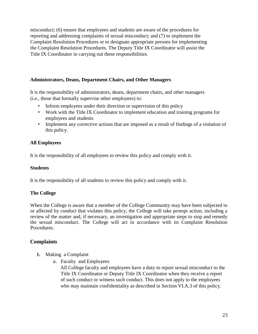misconduct; (6) ensure that employees and students are aware of the procedures for reporting and addressing complaints of sexual misconduct; and (7) to implement the Complaint Resolution Procedures or to designate appropriate persons for implementing the Complaint Resolution Procedures. The Deputy Title IX Coordinator will assist the Title IX Coordinator in carrying out these responsibilities.

### **Administrators, Deans, Department Chairs, and Other Managers**

It is the responsibility of administrators, deans, department chairs, and other managers (i.e., those that formally supervise other employees) to:

- Inform employees under their direction or supervision of this policy
- Work with the Title IX Coordinator to implement education and training programs for employees and students
- Implement any corrective actions that are imposed as a result of findings of a violation of this policy.

## **All Employees**

It is the responsibility of all employees to review this policy and comply with it.

#### **Students**

It is the responsibility of all students to review this policy and comply with it.

#### **The College**

When the College is aware that a member of the College Community may have been subjected to or affected by conduct that violates this policy, the College will take prompt action, including a review of the matter and, if necessary, an investigation and appropriate steps to stop and remedy the sexual misconduct. The College will act in accordance with its Complaint Resolution Procedures.

## **Complaints**

- **1.** Making a Complaint
	- a. Faculty and Employees

All College faculty and employees have a duty to report sexual misconduct to the Title IX Coordinator or Deputy Title IX Coordinator when they receive a report of such conduct or witness such conduct. This does not apply to the employees who may maintain confidentiality as described in Section VI.A.3 of this policy.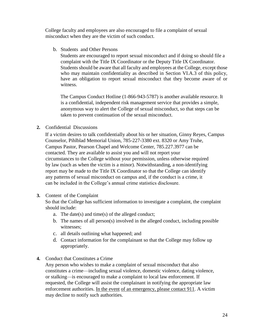College faculty and employees are also encouraged to file a complaint of sexual misconduct when they are the victim of such conduct.

b. Students and Other Persons

Students are encouraged to report sexual misconduct and if doing so should file a complaint with the Title IX Coordinator or the Deputy Title IX Coordinator. Students should be aware that all faculty and employees at the College, except those who may maintain confidentiality as described in Section VI.A.3 of this policy, have an obligation to report sexual misconduct that they become aware of or witness.

The Campus Conduct Hotline (1-866-943-5787) is another available resource. It is a confidential, independent risk management service that provides a simple, anonymous way to alert the College of sexual misconduct, so that steps can be taken to prevent continuation of the sexual misconduct.

## **2.** Confidential Discussions

If a victim desires to talk confidentially about his or her situation, Ginny Reyes, Campus Counselor, Pihlblad Memorial Union, 785-227-3380 ext. 8320 or Amy Truhe, Campus Pastor, Pearson Chapel and Welcome Center, 785.227.3977 can be contacted. They are available to assist you and will not report your circumstances to the College without your permission, unless otherwise required by law (such as when the victim is a minor). Notwithstanding, a non-identifying report may be made to the Title IX Coordinator so that the College can identify any patterns of sexual misconduct on campus and, if the conduct is a crime, it can be included in the College's annual crime statistics disclosure.

#### **3.** Content of the Complaint

So that the College has sufficient information to investigate a complaint, the complaint should include:

- a. The date(s) and time(s) of the alleged conduct;
- b. The names of all person(s) involved in the alleged conduct, including possible witnesses;
- c. all details outlining what happened; and
- d. Contact information for the complainant so that the College may follow up appropriately.
- **4.** Conduct that Constitutes a Crime

Any person who wishes to make a complaint of sexual misconduct that also constitutes a crime—including sexual violence, domestic violence, dating violence, or stalking—is encouraged to make a complaint to local law enforcement. If requested, the College will assist the complainant in notifying the appropriate law enforcement authorities. In the event of an emergency, please contact 911. A victim may decline to notify such authorities.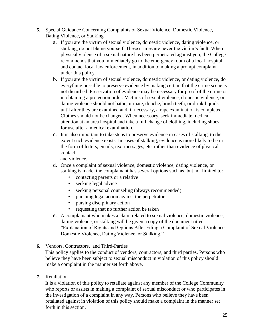- **5.** Special Guidance Concerning Complaints of Sexual Violence, Domestic Violence, Dating Violence, or Stalking
	- a. If you are the victim of sexual violence, domestic violence, dating violence, or stalking, do not blame yourself. These crimes are never the victim's fault. When physical violence of a sexual nature has been perpetrated against you, the College recommends that you immediately go to the emergency room of a local hospital and contact local law enforcement, in addition to making a prompt complaint under this policy.
	- b. If you are the victim of sexual violence, domestic violence, or dating violence, do everything possible to preserve evidence by making certain that the crime scene is not disturbed. Preservation of evidence may be necessary for proof of the crime or in obtaining a protection order. Victims of sexual violence, domestic violence, or dating violence should not bathe, urinate, douche, brush teeth, or drink liquids until after they are examined and, if necessary, a rape examination is completed. Clothes should not be changed. When necessary, seek immediate medical attention at an area hospital and take a full change of clothing, including shoes, for use after a medical examination.
	- c. It is also important to take steps to preserve evidence in cases of stalking, to the extent such evidence exists. In cases of stalking, evidence is more likely to be in the form of letters, emails, text messages, etc. rather than evidence of physical contact

and violence.

- d. Once a complaint of sexual violence, domestic violence, dating violence, or stalking is made, the complainant has several options such as, but not limited to:
	- contacting parents or a relative
	- seeking legal advice
	- seeking personal counseling (always recommended)
	- pursuing legal action against the perpetrator
	- pursing disciplinary action
	- requesting that no further action be taken
- e. A complainant who makes a claim related to sexual violence, domestic violence, dating violence, or stalking will be given a copy of the document titled "Explanation of Rights and Options After Filing a Complaint of Sexual Violence, Domestic Violence, Dating Violence, or Stalking."
- **6.** Vendors, Contractors, and Third-Parties

This policy applies to the conduct of vendors, contractors, and third parties. Persons who believe they have been subject to sexual misconduct in violation of this policy should make a complaint in the manner set forth above.

**7.** Retaliation

It is a violation of this policy to retaliate against any member of the College Community who reports or assists in making a complaint of sexual misconduct or who participates in the investigation of a complaint in any way. Persons who believe they have been retaliated against in violation of this policy should make a complaint in the manner set forth in this section.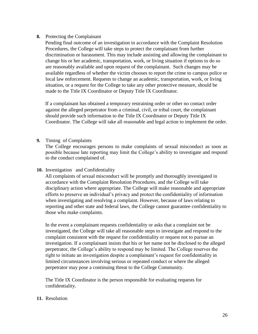#### **8.** Protecting the Complainant

Pending final outcome of an investigation in accordance with the Complaint Resolution Procedures, the College will take steps to protect the complainant from further discrimination or harassment. This may include assisting and allowing the complainant to change his or her academic, transportation, work, or living situation if options to do so are reasonably available and upon request of the complainant. Such changes may be available regardless of whether the victim chooses to report the crime to campus police or local law enforcement. Requests to change an academic, transportation, work, or living situation, or a request for the College to take any other protective measure, should be made to the Title IX Coordinator or Deputy Title IX Coordinator.

If a complainant has obtained a temporary restraining order or other no contact order against the alleged perpetrator from a criminal, civil, or tribal court, the complainant should provide such information to the Title IX Coordinator or Deputy Title IX Coordinator. The College will take all reasonable and legal action to implement the order.

#### **9.** Timing of Complaints

The College encourages persons to make complaints of sexual misconduct as soon as possible because late reporting may limit the College's ability to investigate and respond to the conduct complained of.

#### **10.** Investigation and Confidentiality

All complaints of sexual misconduct will be promptly and thoroughly investigated in accordance with the Complaint Resolution Procedures, and the College will take disciplinary action where appropriate. The College will make reasonable and appropriate efforts to preserve an individual's privacy and protect the confidentiality of information when investigating and resolving a complaint. However, because of laws relating to reporting and other state and federal laws, the College cannot guarantee confidentiality to those who make complaints.

In the event a complainant requests confidentiality or asks that a complaint not be investigated, the College will take all reasonable steps to investigate and respond to the complaint consistent with the request for confidentiality or request not to pursue an investigation. If a complainant insists that his or her name not be disclosed to the alleged perpetrator, the College's ability to respond may be limited. The College reserves the right to initiate an investigation despite a complainant's request for confidentiality in limited circumstances involving serious or repeated conduct or where the alleged perpetrator may pose a continuing threat to the College Community.

The Title IX Coordinator is the person responsible for evaluating requests for confidentiality.

#### **11.** Resolution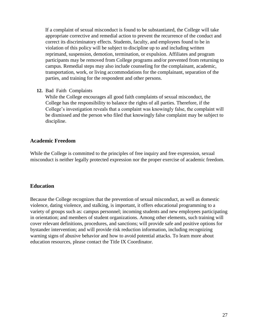If a complaint of sexual misconduct is found to be substantiated, the College will take appropriate corrective and remedial action to prevent the recurrence of the conduct and correct its discriminatory effects. Students, faculty, and employees found to be in violation of this policy will be subject to discipline up to and including written reprimand, suspension, demotion, termination, or expulsion. Affiliates and program participants may be removed from College programs and/or prevented from returning to campus. Remedial steps may also include counseling for the complainant, academic, transportation, work, or living accommodations for the complainant, separation of the parties, and training for the respondent and other persons.

#### **12.** Bad Faith Complaints

While the College encourages all good faith complaints of sexual misconduct, the College has the responsibility to balance the rights of all parties. Therefore, if the College's investigation reveals that a complaint was knowingly false, the complaint will be dismissed and the person who filed that knowingly false complaint may be subject to discipline.

#### **Academic Freedom**

While the College is committed to the principles of free inquiry and free expression, sexual misconduct is neither legally protected expression nor the proper exercise of academic freedom.

#### **Education**

Because the College recognizes that the prevention of sexual misconduct, as well as domestic violence, dating violence, and stalking, is important, it offers educational programming to a variety of groups such as: campus personnel; incoming students and new employees participating in orientation; and members of student organizations. Among other elements, such training will cover relevant definitions, procedures, and sanctions; will provide safe and positive options for bystander intervention; and will provide risk reduction information, including recognizing warning signs of abusive behavior and how to avoid potential attacks. To learn more about education resources, please contact the Title IX Coordinator.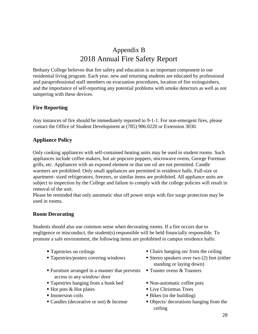# Appendix B 2018 Annual Fire Safety Report

Bethany College believes that fire safety and education is an important component to our residential living program. Each year, new and returning students are educated by professional and paraprofessional staff members on evacuation procedures, location of fire extinguishers, and the importance of self-reporting any potential problems with smoke detectors as well as not tampering with these devices.

## **Fire Reporting**

Any instances of fire should be immediately reported to 9-1-1. For non-emergent fires, please contact the Office of Student Development at (785) 906.0220 or Extension 3030.

## **Appliance Policy**

Only cooking appliances with self-contained heating units may be used in student rooms. Such appliances include coffee makers, hot air popcorn poppers, microwave ovens, George Foreman grills, etc. Appliances with an exposed element or that use oil are not permitted. Candle warmers are prohibited. Only small appliances are permitted in residence halls. Full-size or apartment- sized refrigerators, freezers, or similar items are prohibited. All appliance units are subject to inspection by the College and failure to comply with the college policies will result in removal of the unit.

Please be reminded that only automatic shut off power strips with fire surge protection may be used in rooms.

#### **Room Decorating**

Students should also use common sense when decorating rooms. If a fire occurs due to negligence or misconduct, the student(s) responsible will be held financially responsible. To promote a safe environment, the following items are prohibited in campus residence halls:

- 
- 
- Furniture arranged in a manner that prevents access to any window/ door
- Tapestries hanging from a bunk bed Non-automatic coffee pots
- $\blacksquare$  Hot pots & Hot plates  $\blacksquare$  Live Christmas Trees
- 
- 
- Tapestries on ceilings Chairs hanging on/ from the ceiling
- Tapestries/posters covering windows Stereo speakers over two (2) feet (either standing or laying down)
	- **T**oaster ovens & Toasters
	-
	-
- Immersion coils Bikes (in the building)
- Candles (decorative or not)  $\&$  Incense Objects/ decorations hanging from the ceiling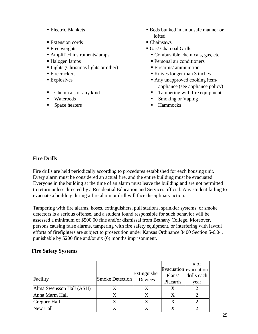- 
- Extension cords Chainsaws
- 
- 
- 
- Lights (Christmas lights or other) Firearms/ ammunition
- 
- 
- 
- 
- 
- Electric Blankets **Beds** bunked in an unsafe manner or lofted
	-
- Free weights Gas/ Charcoal Grills
- Amplified instruments/ amps Combustible chemicals, gas, etc.
- Halogen lamps Personal air conditioners
	-
- Firecrackers **Knives** longer than 3 inches
- Explosives Explosives **Any unapproved cooking item** appliance (see appliance policy)
- Chemicals of any kind **Tampering with fire equipment**
- Waterbeds Smoking or Vaping
	- Space heaters **Hammocks**

## **Fire Drills**

Fire drills are held periodically according to procedures established for each housing unit. Every alarm must be considered an actual fire, and the entire building must be evacuated. Everyone in the building at the time of an alarm must leave the building and are not permitted to return unless directed by a Residential Education and Services official. Any student failing to evacuate a building during a fire alarm or drill will face disciplinary action.

Tampering with fire alarms, hoses, extinguishers, pull stations, sprinkler systems, or smoke detectors is a serious offense, and a student found responsible for such behavior will be assessed a minimum of \$500.00 fine and/or dismissal from Bethany College. Moreover, persons causing false alarms, tampering with fire safety equipment, or interfering with lawful efforts of firefighters are subject to prosecution under Kansas Ordinance 3400 Section 5-6.04, punishable by \$200 fine and/or six (6) months imprisonment.

## **Fire Safety Systems**

|                          |                        |              |                       | # of        |
|--------------------------|------------------------|--------------|-----------------------|-------------|
|                          |                        |              | Evacuation evacuation |             |
|                          |                        | Extinguisher | Plans/                | drills each |
| Facility                 | <b>Smoke Detection</b> | Devices      | Placards              | year        |
| Alma Swensson Hall (ASH) |                        |              |                       |             |
| Anna Marm Hall           |                        | X            |                       |             |
| <b>Gregory Hall</b>      |                        | X            |                       |             |
| New Hall                 |                        |              |                       |             |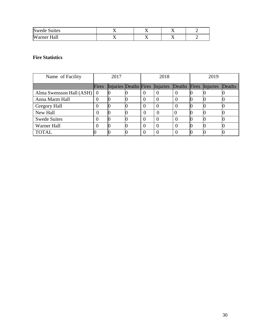| <b>Swede Suites</b>  | . . | . . |  |
|----------------------|-----|-----|--|
| Hall<br>Wа.<br>ırner | ∡ ⊾ |     |  |

### **Fire Statistics**

| Name of Facility               |       | 2017 |              | 2018                           |        |       | 2019     |        |
|--------------------------------|-------|------|--------------|--------------------------------|--------|-------|----------|--------|
|                                | Fires |      |              | Injuries Deaths Fires Injuries | Deaths | Fires | Injuries | Deaths |
| Alma Swensson Hall $(ASH)   0$ |       |      | $\theta$     | $\theta$                       | O      |       |          |        |
| Anna Marm Hall                 |       |      | U            |                                |        |       |          |        |
| Gregory Hall                   |       |      | $\theta$     | $\Omega$                       |        |       |          |        |
| New Hall                       |       |      | $\theta$     |                                |        |       |          |        |
| <b>Swede Suites</b>            |       |      | $\theta$     | $\Omega$                       |        |       |          |        |
| Warner Hall                    |       |      | $\mathbf{U}$ |                                |        |       |          |        |
| <b>TOTAL</b>                   |       |      |              |                                |        |       |          |        |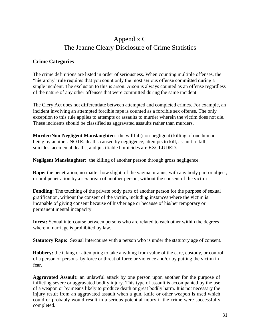# Appendix C The Jeanne Cleary Disclosure of Crime Statistics

## **Crime Categories**

The crime definitions are listed in order of seriousness. When counting multiple offenses, the "hierarchy" rule requires that you count only the most serious offense committed during a single incident. The exclusion to this is arson. Arson is always counted as an offense regardless of the nature of any other offenses that were committed during the same incident.

The Clery Act does not differentiate between attempted and completed crimes. For example, an incident involving an attempted forcible rape is counted as a forcible sex offense. The only exception to this rule applies to attempts or assaults to murder wherein the victim does not die. These incidents should be classified as aggravated assaults rather than murders.

**Murder/Non-Negligent Manslaughter:** the willful (non-negligent) killing of one human being by another. NOTE: deaths caused by negligence, attempts to kill, assault to kill, suicides, accidental deaths, and justifiable homicides are EXCLUDED.

**Negligent Manslaughter:** the killing of another person through gross negligence.

**Rape:** the penetration, no matter how slight, of the vagina or anus, with any body part or object, or oral penetration by a sex organ of another person, without the consent of the victim

**Fondling:** The touching of the private body parts of another person for the purpose of sexual gratification, without the consent of the victim, including instances where the victim is incapable of giving consent because of his/her age or because of his/her temporary or permanent mental incapacity.

**Incest:** Sexual intercourse between persons who are related to each other within the degrees wherein marriage is prohibited by law.

**Statutory Rape:** Sexual intercourse with a person who is under the statutory age of consent.

**Robbery:** the taking or attempting to take anything from value of the care, custody, or control of a person or persons by force or threat of force or violence and/or by putting the victim in fear.

**Aggravated Assault:** an unlawful attack by one person upon another for the purpose of inflicting severe or aggravated bodily injury. This type of assault is accompanied by the use of a weapon or by means likely to produce death or great bodily harm. It is not necessary the injury result from an aggravated assault when a gun, knife or other weapon is used which could or probably would result in a serious potential injury if the crime were successfully completed.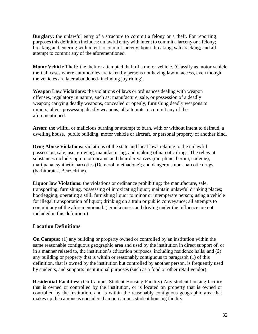**Burglary:** the unlawful entry of a structure to commit a felony or a theft. For reporting purposes this definition includes: unlawful entry with intent to commit a larceny or a felony; breaking and entering with intent to commit larceny; house breaking; safecracking; and all attempt to commit any of the aforementioned.

**Motor Vehicle Theft:** the theft or attempted theft of a motor vehicle. (Classify as motor vehicle theft all cases where automobiles are taken by persons not having lawful access, even though the vehicles are later abandoned- including joy riding).

**Weapon Law Violations**: the violations of laws or ordinances dealing with weapon offenses, regulatory in nature, such as: manufacture, sale, or possession of a deadly weapon; carrying deadly weapons, concealed or openly; furnishing deadly weapons to minors; aliens possessing deadly weapons; all attempts to commit any of the aforementioned.

**Arson:** the willful or malicious burning or attempt to burn, with or without intent to defraud, a dwelling house, public building, motor vehicle or aircraft, or personal property of another kind.

**Drug Abuse Violations:** violations of the state and local laws relating to the unlawful possession, sale, use, growing, manufacturing, and making of narcotic drugs. The relevant substances include: opium or cocaine and their derivatives (morphine, heroin, codeine); marijuana; synthetic narcotics (Demerol, methadone); and dangerous non- narcotic drugs (barbiturates, Benzedrine).

**Liquor law Violations:** the violations or ordinance prohibiting: the manufacture, sale, transporting, furnishing, possessing of intoxicating liquor; maintain unlawful drinking places; bootlegging; operating a still; furnishing liquor to minor or intemperate person; using a vehicle for illegal transportation of liquor; drinking on a train or public conveyance; all attempts to commit any of the aforementioned. (Drunkenness and driving under the influence are not included in this definition.)

## **Location Definitions**

**On Campus:** (1) any building or property owned or controlled by an institution within the same reasonable contiguous geographic area and used by the institution in direct support of, or in a manner related to, the institution's education purposes, including residence halls; and (2) any building or property that is within or reasonably contiguous to paragraph (1) of this definition, that is owned by the institution but controlled by another person, is frequently used by students, and supports institutional purposes (such as a food or other retail vendor).

**Residential Facilities:** (On-Campus Student Housing Facility) Any student housing facility that is owned or controlled by the institution, or is located on property that is owned or controlled by the institution, and is within the reasonably contiguous geographic area that makes up the campus is considered an on-campus student housing facility.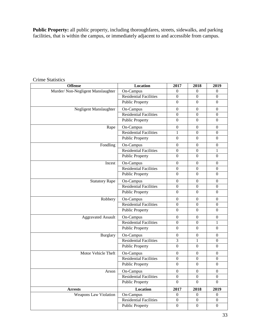**Public Property:** all public property, including thoroughfares, streets, sidewalks, and parking facilities, that is within the campus, or immediately adjacent to and accessible from campus.

| <b>Offense</b>                     | <b>Location</b>               | 2017             | 2018             | 2019             |
|------------------------------------|-------------------------------|------------------|------------------|------------------|
| Murder/ Non-Negligent Manslaughter | On-Campus                     | $\theta$         | $\mathbf{0}$     | $\mathbf{0}$     |
|                                    | <b>Residential Facilities</b> | $\overline{0}$   | $\overline{0}$   | $\boldsymbol{0}$ |
|                                    | <b>Public Property</b>        | $\overline{0}$   | $\overline{0}$   | $\boldsymbol{0}$ |
| Negligent Manslaughter             | On-Campus                     | $\boldsymbol{0}$ | $\Omega$         | $\boldsymbol{0}$ |
|                                    | <b>Residential Facilities</b> | $\boldsymbol{0}$ | $\boldsymbol{0}$ | $\boldsymbol{0}$ |
|                                    | <b>Public Property</b>        | $\overline{0}$   | $\overline{0}$   | $\boldsymbol{0}$ |
| Rape                               | On-Campus                     | $\boldsymbol{0}$ | $\overline{0}$   | $\mathbf{0}$     |
|                                    | Residential Facilities        | $\mathbf{1}$     | $\overline{0}$   | $\boldsymbol{0}$ |
|                                    | <b>Public Property</b>        | $\overline{0}$   | $\boldsymbol{0}$ | $\boldsymbol{0}$ |
| Fondling                           | On-Campus                     | $\overline{0}$   | $\boldsymbol{0}$ | $\boldsymbol{0}$ |
|                                    | <b>Residential Facilities</b> | $\boldsymbol{0}$ | $\boldsymbol{0}$ | 1                |
|                                    | <b>Public Property</b>        | $\overline{0}$   | $\overline{0}$   | $\mathbf{0}$     |
| Incest                             | On-Campus                     | $\boldsymbol{0}$ | $\boldsymbol{0}$ | $\mathbf{0}$     |
|                                    | <b>Residential Facilities</b> | $\boldsymbol{0}$ | $\overline{0}$   | $\boldsymbol{0}$ |
|                                    | <b>Public Property</b>        | $\boldsymbol{0}$ | $\boldsymbol{0}$ | $\boldsymbol{0}$ |
| <b>Statutory Rape</b>              | On-Campus                     | $\boldsymbol{0}$ | $\boldsymbol{0}$ | $\boldsymbol{0}$ |
|                                    | <b>Residential Facilities</b> | $\boldsymbol{0}$ | $\overline{0}$   | $\boldsymbol{0}$ |
|                                    | <b>Public Property</b>        | $\overline{0}$   | $\overline{0}$   | $\boldsymbol{0}$ |
| Robbery                            | On-Campus                     | $\boldsymbol{0}$ | $\boldsymbol{0}$ | $\boldsymbol{0}$ |
|                                    | <b>Residential Facilities</b> | $\boldsymbol{0}$ | $\boldsymbol{0}$ | $\boldsymbol{0}$ |
|                                    | <b>Public Property</b>        | $\boldsymbol{0}$ | $\boldsymbol{0}$ | $\boldsymbol{0}$ |
| <b>Aggravated Assault</b>          | On-Campus                     | $\boldsymbol{0}$ | $\overline{0}$   | $\boldsymbol{0}$ |
|                                    | <b>Residential Facilities</b> | $\boldsymbol{0}$ | $\boldsymbol{0}$ | $\mathbf{1}$     |
|                                    | <b>Public Property</b>        | $\boldsymbol{0}$ | $\overline{0}$   | $\boldsymbol{0}$ |
| <b>Burglary</b>                    | On-Campus                     | $\boldsymbol{0}$ | $\overline{0}$   | $\boldsymbol{0}$ |
|                                    | <b>Residential Facilities</b> | 3                | $\mathbf{1}$     | $\boldsymbol{0}$ |
|                                    | <b>Public Property</b>        | $\boldsymbol{0}$ | $\boldsymbol{0}$ | $\boldsymbol{0}$ |
| Motor Vehicle Theft                | On-Campus                     | $\boldsymbol{0}$ | $\boldsymbol{0}$ | $\boldsymbol{0}$ |
|                                    | <b>Residential Facilities</b> | $\boldsymbol{0}$ | $\boldsymbol{0}$ | $\boldsymbol{0}$ |
|                                    | <b>Public Property</b>        | $\boldsymbol{0}$ | $\boldsymbol{0}$ | $\boldsymbol{0}$ |
| Arson                              | On-Campus                     | $\boldsymbol{0}$ | $\boldsymbol{0}$ | $\boldsymbol{0}$ |
|                                    | <b>Residential Facilities</b> | $\overline{0}$   | $\boldsymbol{0}$ | $\boldsymbol{0}$ |
|                                    | <b>Public Property</b>        | $\boldsymbol{0}$ | $\boldsymbol{0}$ | $\overline{0}$   |
| <b>Arrests</b>                     | Location                      | 2017             | 2018             | 2019             |
| Weapons Law Violation              | On-Campus                     | $\boldsymbol{0}$ | $\boldsymbol{0}$ | $\boldsymbol{0}$ |
|                                    | <b>Residential Facilities</b> | $\boldsymbol{0}$ | $\boldsymbol{0}$ | $\mathbf{0}$     |
|                                    | <b>Public Property</b>        | $\boldsymbol{0}$ | $\boldsymbol{0}$ | $\mathbf{0}$     |

## Crime Statistics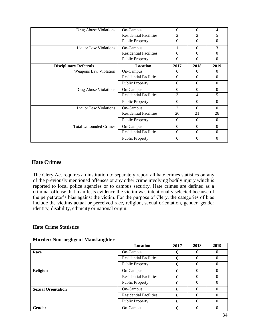| Drug Abuse Violations         | On-Campus                     | $\Omega$       | $\Omega$       | $\overline{4}$ |
|-------------------------------|-------------------------------|----------------|----------------|----------------|
|                               | <b>Residential Facilities</b> | 2              | $\mathfrak{D}$ | 5              |
|                               | <b>Public Property</b>        | $\Omega$       | $\Omega$       | $\theta$       |
| <b>Liquor Law Violations</b>  | On-Campus                     |                | $\Omega$       | 3              |
|                               | <b>Residential Facilities</b> | $\Omega$       | $\Omega$       | $\Omega$       |
|                               | <b>Public Property</b>        | $\theta$       | $\Omega$       | $\theta$       |
| <b>Disciplinary Referrals</b> | Location                      | 2017           | 2018           | 2019           |
| <b>Weapons Law Violation</b>  | On-Campus                     | $\Omega$       | $\Omega$       | $\Omega$       |
|                               | <b>Residential Facilities</b> | $\Omega$       | $\Omega$       | $\Omega$       |
|                               | <b>Public Property</b>        | $\Omega$       | $\Omega$       | $\Omega$       |
| Drug Abuse Violations         | On-Campus                     | $\Omega$       | $\Omega$       | $\Omega$       |
|                               | <b>Residential Facilities</b> | 3              | 4              | 5              |
|                               | <b>Public Property</b>        | $\Omega$       | $\Omega$       | $\theta$       |
| <b>Liquor Law Violations</b>  | On-Campus                     | $\mathfrak{D}$ | $\Omega$       | $\Omega$       |
|                               | <b>Residential Facilities</b> | 26             | 21             | 28             |
|                               | <b>Public Property</b>        | $\Omega$       | $\Omega$       | $\theta$       |
| <b>Total Unfounded Crimes</b> | On-Campus                     | $\Omega$       | $\Omega$       | $\Omega$       |
|                               | <b>Residential Facilities</b> | $\Omega$       | $\Omega$       | $\theta$       |
|                               | <b>Public Property</b>        | $\Omega$       | $\Omega$       | $\theta$       |

### **Hate Crimes**

The Clery Act requires an institution to separately report all hate crimes statistics on any of the previously mentioned offenses or any other crime involving bodily injury which is reported to local police agencies or to campus security. Hate crimes are defined as a criminal offense that manifests evidence the victim was intentionally selected because of the perpetrator's bias against the victim. For the purpose of Clery, the categories of bias include the victims actual or perceived race, religion, sexual orientation, gender, gender identity, disability, ethnicity or national origin.

#### **Hate Crime Statistics**

|                           | <b>Location</b>               | 2017 | 2018 | 2019     |
|---------------------------|-------------------------------|------|------|----------|
| Race                      | On-Campus                     |      |      |          |
|                           | <b>Residential Facilities</b> | 0    |      | 0        |
|                           | <b>Public Property</b>        | 0    | 0    | $\theta$ |
| Religion                  | On-Campus                     | 0    | 0    | 0        |
|                           | <b>Residential Facilities</b> | 0    | 0    | $\theta$ |
|                           | <b>Public Property</b>        | 0    | 0    | $\Omega$ |
| <b>Sexual Orientation</b> | On-Campus                     | 0    | 0    | 0        |
|                           | <b>Residential Facilities</b> | 0    | 0    | $\Omega$ |
|                           | <b>Public Property</b>        | 0    | 0    | $\Omega$ |
| <b>Gender</b>             | On-Campus                     |      |      |          |

#### **Murder/ Non-negligent Manslaughter**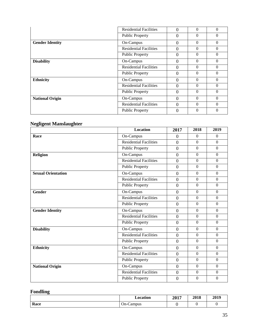|                        | <b>Residential Facilities</b> | 0        | $\Omega$ | $\Omega$ |
|------------------------|-------------------------------|----------|----------|----------|
|                        | <b>Public Property</b>        | $\Omega$ | $\Omega$ | $\Omega$ |
| <b>Gender Identity</b> | On-Campus                     | $\Omega$ | $\theta$ | $\theta$ |
|                        | <b>Residential Facilities</b> | $\Omega$ | $\Omega$ | $\theta$ |
|                        | <b>Public Property</b>        | $\Omega$ | $\theta$ | $\theta$ |
| <b>Disability</b>      | On-Campus                     | 0        | $\theta$ | $\theta$ |
|                        | <b>Residential Facilities</b> | 0        | $\theta$ | $\theta$ |
|                        | <b>Public Property</b>        | $\Omega$ | $\Omega$ | $\Omega$ |
| <b>Ethnicity</b>       | On-Campus                     | $\Omega$ | $\Omega$ | $\theta$ |
|                        | <b>Residential Facilities</b> | 0        | $\Omega$ | $\Omega$ |
|                        | <b>Public Property</b>        | 0        | $\Omega$ | $\Omega$ |
| <b>National Origin</b> | On-Campus                     | $\Omega$ | $\theta$ | $\theta$ |
|                        | <b>Residential Facilities</b> | 0        | $\Omega$ | $\Omega$ |
|                        | <b>Public Property</b>        | 0        | $\Omega$ |          |
|                        |                               |          |          |          |

## **Negligent Manslaughter**

|                           | <b>Location</b>               | 2017             | 2018             | 2019             |
|---------------------------|-------------------------------|------------------|------------------|------------------|
| Race                      | On-Campus                     | $\overline{0}$   | $\boldsymbol{0}$ | $\Omega$         |
|                           | <b>Residential Facilities</b> | $\overline{0}$   | $\boldsymbol{0}$ | $\boldsymbol{0}$ |
|                           | <b>Public Property</b>        | $\overline{0}$   | $\boldsymbol{0}$ | $\boldsymbol{0}$ |
| Religion                  | On-Campus                     | $\overline{0}$   | $\boldsymbol{0}$ | $\boldsymbol{0}$ |
|                           | Residential Facilities        | $\overline{0}$   | $\boldsymbol{0}$ | $\boldsymbol{0}$ |
|                           | <b>Public Property</b>        | $\boldsymbol{0}$ | $\overline{0}$   | $\overline{0}$   |
| <b>Sexual Orientation</b> | On-Campus                     | $\overline{0}$   | $\Omega$         | $\Omega$         |
|                           | <b>Residential Facilities</b> | $\overline{0}$   | $\overline{0}$   | $\overline{0}$   |
|                           | <b>Public Property</b>        | $\overline{0}$   | $\Omega$         | $\Omega$         |
| <b>Gender</b>             | On-Campus                     | $\boldsymbol{0}$ | $\boldsymbol{0}$ | $\boldsymbol{0}$ |
|                           | <b>Residential Facilities</b> | $\overline{0}$   | $\overline{0}$   | $\boldsymbol{0}$ |
|                           | <b>Public Property</b>        | $\overline{0}$   | $\overline{0}$   | $\overline{0}$   |
| <b>Gender Identity</b>    | On-Campus                     | $\overline{0}$   | $\overline{0}$   | $\overline{0}$   |
|                           | <b>Residential Facilities</b> | $\overline{0}$   | $\overline{0}$   | $\overline{0}$   |
|                           | <b>Public Property</b>        | $\overline{0}$   | $\overline{0}$   | $\overline{0}$   |
| <b>Disability</b>         | On-Campus                     | $\boldsymbol{0}$ | $\Omega$         | $\Omega$         |
|                           | <b>Residential Facilities</b> | $\overline{0}$   | $\overline{0}$   | $\overline{0}$   |
|                           | <b>Public Property</b>        | $\overline{0}$   | $\overline{0}$   | $\overline{0}$   |
| <b>Ethnicity</b>          | On-Campus                     | $\overline{0}$   | $\overline{0}$   | $\boldsymbol{0}$ |
|                           | <b>Residential Facilities</b> | $\overline{0}$   | $\overline{0}$   | $\overline{0}$   |
|                           | <b>Public Property</b>        | $\overline{0}$   | $\overline{0}$   | $\Omega$         |
| <b>National Origin</b>    | On-Campus                     | $\overline{0}$   | $\overline{0}$   | $\overline{0}$   |
|                           | <b>Residential Facilities</b> | $\overline{0}$   | $\overline{0}$   | $\mathbf{0}$     |
|                           | Public Property               | $\overline{0}$   | $\overline{0}$   | $\overline{0}$   |

## **Fondling**

|      | Location  | 2017 | 2018 | 2019 |
|------|-----------|------|------|------|
| Race | On-Campus |      |      |      |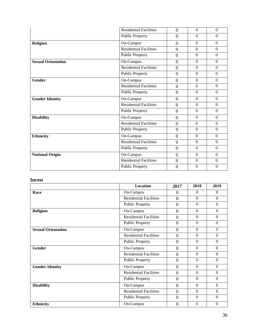|                           | <b>Residential Facilities</b> | $\theta$         | $\Omega$       | $\Omega$         |
|---------------------------|-------------------------------|------------------|----------------|------------------|
|                           | <b>Public Property</b>        | $\theta$         | $\Omega$       | $\theta$         |
| <b>Religion</b>           | On-Campus                     | $\overline{0}$   | $\Omega$       | $\Omega$         |
|                           | <b>Residential Facilities</b> | $\overline{0}$   | $\overline{0}$ | $\Omega$         |
|                           | <b>Public Property</b>        | $\overline{0}$   | $\Omega$       | $\theta$         |
| <b>Sexual Orientation</b> | On-Campus                     | $\overline{0}$   | $\mathbf{0}$   | $\overline{0}$   |
|                           | <b>Residential Facilities</b> | $\theta$         | $\Omega$       | $\Omega$         |
|                           | <b>Public Property</b>        | $\theta$         | $\overline{0}$ | $\theta$         |
| <b>Gender</b>             | On-Campus                     | $\overline{0}$   | $\Omega$       | $\Omega$         |
|                           | <b>Residential Facilities</b> | $\overline{0}$   | $\Omega$       | $\overline{0}$   |
|                           | <b>Public Property</b>        | $\overline{0}$   | $\mathbf{0}$   | $\overline{0}$   |
| <b>Gender Identity</b>    | On-Campus                     | $\boldsymbol{0}$ | $\Omega$       | $\Omega$         |
|                           | <b>Residential Facilities</b> | $\overline{0}$   | $\Omega$       | $\Omega$         |
|                           | <b>Public Property</b>        | $\overline{0}$   | $\Omega$       | $\Omega$         |
| <b>Disability</b>         | On-Campus                     | $\overline{0}$   | $\Omega$       | $\overline{0}$   |
|                           | <b>Residential Facilities</b> | $\overline{0}$   | $\Omega$       | $\overline{0}$   |
|                           | <b>Public Property</b>        | $\overline{0}$   | $\Omega$       | $\theta$         |
| <b>Ethnicity</b>          | On-Campus                     | $\overline{0}$   | $\mathbf{0}$   | $\overline{0}$   |
|                           | <b>Residential Facilities</b> | $\overline{0}$   | $\overline{0}$ | $\Omega$         |
|                           | <b>Public Property</b>        | $\theta$         | $\Omega$       | $\Omega$         |
| <b>National Origin</b>    | On-Campus                     | $\Omega$         | $\Omega$       | $\overline{0}$   |
|                           | <b>Residential Facilities</b> | $\overline{0}$   | $\Omega$       | $\boldsymbol{0}$ |
|                           | <b>Public Property</b>        | $\overline{0}$   | $\Omega$       | $\theta$         |

## **Incest**

|                           | <b>Location</b>               | 2017           | 2018           | 2019             |
|---------------------------|-------------------------------|----------------|----------------|------------------|
| Race                      | On-Campus                     | $\Omega$       | $\Omega$       | $\Omega$         |
|                           | <b>Residential Facilities</b> | $\theta$       | $\Omega$       | $\Omega$         |
|                           | <b>Public Property</b>        | $\theta$       | $\Omega$       | $\Omega$         |
| <b>Religion</b>           | On-Campus                     | $\overline{0}$ | $\Omega$       | $\Omega$         |
|                           | <b>Residential Facilities</b> | $\overline{0}$ | $\Omega$       | $\Omega$         |
|                           | <b>Public Property</b>        | $\overline{0}$ | $\Omega$       | $\Omega$         |
| <b>Sexual Orientation</b> | On-Campus                     | $\Omega$       | $\overline{0}$ | $\mathbf{0}$     |
|                           | <b>Residential Facilities</b> | $\theta$       | $\Omega$       | $\Omega$         |
|                           | <b>Public Property</b>        | $\overline{0}$ | $\Omega$       | $\Omega$         |
| Gender                    | On-Campus                     | $\overline{0}$ | $\overline{0}$ | $\overline{0}$   |
|                           | <b>Residential Facilities</b> | $\theta$       | $\Omega$       | $\Omega$         |
|                           | <b>Public Property</b>        | $\overline{0}$ | $\Omega$       | $\Omega$         |
| <b>Gender Identity</b>    | On-Campus                     | $\Omega$       | $\Omega$       | $\Omega$         |
|                           | <b>Residential Facilities</b> | $\overline{0}$ | $\Omega$       | $\Omega$         |
|                           | <b>Public Property</b>        | $\overline{0}$ | $\Omega$       | $\boldsymbol{0}$ |
| <b>Disability</b>         | On-Campus                     | $\overline{0}$ | $\Omega$       | $\Omega$         |
|                           | <b>Residential Facilities</b> | $\theta$       | $\Omega$       | $\Omega$         |
|                           | <b>Public Property</b>        | $\theta$       | $\Omega$       | $\Omega$         |
| <b>Ethnicity</b>          | On-Campus                     | $\theta$       | $\Omega$       | $\Omega$         |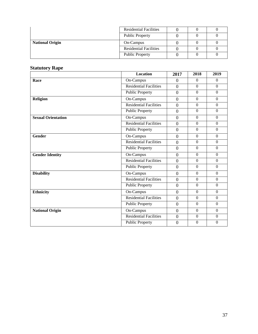|                        | <b>Residential Facilities</b> |  |  |
|------------------------|-------------------------------|--|--|
|                        | <b>Public Property</b>        |  |  |
| <b>National Origin</b> | On-Campus                     |  |  |
|                        | <b>Residential Facilities</b> |  |  |
|                        | <b>Public Property</b>        |  |  |

### **Statutory Rape**

|                           | <b>Location</b>               | 2017             | 2018             | 2019             |
|---------------------------|-------------------------------|------------------|------------------|------------------|
| Race                      | On-Campus                     | $\overline{0}$   | $\overline{0}$   | $\overline{0}$   |
|                           | <b>Residential Facilities</b> | $\overline{0}$   | $\overline{0}$   | $\overline{0}$   |
|                           | <b>Public Property</b>        | $\overline{0}$   | $\boldsymbol{0}$ | $\overline{0}$   |
| Religion                  | On-Campus                     | $\mathbf{0}$     | $\overline{0}$   | $\Omega$         |
|                           | <b>Residential Facilities</b> | $\boldsymbol{0}$ | $\Omega$         | $\Omega$         |
|                           | <b>Public Property</b>        | $\overline{0}$   | $\overline{0}$   | $\overline{0}$   |
| <b>Sexual Orientation</b> | On-Campus                     | $\overline{0}$   | $\overline{0}$   | $\overline{0}$   |
|                           | Residential Facilities        | $\overline{0}$   | $\boldsymbol{0}$ | $\boldsymbol{0}$ |
|                           | <b>Public Property</b>        | $\overline{0}$   | $\boldsymbol{0}$ | $\boldsymbol{0}$ |
| <b>Gender</b>             | On-Campus                     | $\boldsymbol{0}$ | $\overline{0}$   | $\overline{0}$   |
|                           | <b>Residential Facilities</b> | $\overline{0}$   | $\Omega$         | $\Omega$         |
|                           | <b>Public Property</b>        | $\overline{0}$   | $\Omega$         | $\Omega$         |
| <b>Gender Identity</b>    | On-Campus                     | $\overline{0}$   | $\overline{0}$   | $\overline{0}$   |
|                           | <b>Residential Facilities</b> | $\overline{0}$   | $\boldsymbol{0}$ | $\boldsymbol{0}$ |
|                           | <b>Public Property</b>        | $\overline{0}$   | $\overline{0}$   | $\overline{0}$   |
| <b>Disability</b>         | On-Campus                     | $\boldsymbol{0}$ | $\Omega$         | $\Omega$         |
|                           | <b>Residential Facilities</b> | $\overline{0}$   | $\overline{0}$   | $\overline{0}$   |
|                           | <b>Public Property</b>        | $\overline{0}$   | $\overline{0}$   | $\overline{0}$   |
| <b>Ethnicity</b>          | On-Campus                     | $\overline{0}$   | $\boldsymbol{0}$ | $\boldsymbol{0}$ |
|                           | <b>Residential Facilities</b> | $\overline{0}$   | $\overline{0}$   | $\overline{0}$   |
|                           | <b>Public Property</b>        | $\boldsymbol{0}$ | $\overline{0}$   | $\boldsymbol{0}$ |
| <b>National Origin</b>    | On-Campus                     | $\overline{0}$   | $\overline{0}$   | $\overline{0}$   |
|                           | <b>Residential Facilities</b> | $\overline{0}$   | $\Omega$         | $\Omega$         |
|                           | <b>Public Property</b>        | $\overline{0}$   | $\overline{0}$   | $\overline{0}$   |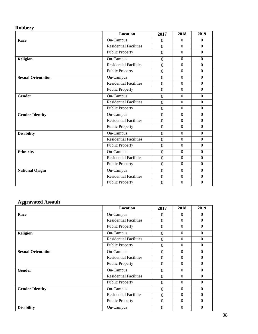## **Robbery**

|                           | <b>Location</b>               | 2017             | 2018           | 2019             |
|---------------------------|-------------------------------|------------------|----------------|------------------|
| Race                      | On-Campus                     | $\overline{0}$   | $\Omega$       | $\Omega$         |
|                           | <b>Residential Facilities</b> | $\overline{0}$   | $\Omega$       | $\Omega$         |
|                           | <b>Public Property</b>        | $\overline{0}$   | $\mathbf{0}$   | $\overline{0}$   |
| <b>Religion</b>           | On-Campus                     | $\overline{0}$   | $\overline{0}$ | $\Omega$         |
|                           | <b>Residential Facilities</b> | $\overline{0}$   | $\Omega$       | $\Omega$         |
|                           | <b>Public Property</b>        | $\overline{0}$   | $\Omega$       | $\overline{0}$   |
| <b>Sexual Orientation</b> | On-Campus                     | $\overline{0}$   | $\mathbf{0}$   | $\overline{0}$   |
|                           | <b>Residential Facilities</b> | $\Omega$         | $\mathbf{0}$   | $\overline{0}$   |
|                           | <b>Public Property</b>        | $\Omega$         | $\Omega$       | $\Omega$         |
| <b>Gender</b>             | On-Campus                     | $\overline{0}$   | $\Omega$       | $\mathbf{0}$     |
|                           | <b>Residential Facilities</b> | $\overline{0}$   | $\mathbf{0}$   | $\overline{0}$   |
|                           | <b>Public Property</b>        | $\overline{0}$   | $\overline{0}$ | $\overline{0}$   |
| <b>Gender Identity</b>    | On-Campus                     | $\Omega$         | $\overline{0}$ | $\Omega$         |
|                           | <b>Residential Facilities</b> | $\overline{0}$   | $\Omega$       | $\Omega$         |
|                           | <b>Public Property</b>        | $\overline{0}$   | $\Omega$       | $\theta$         |
| <b>Disability</b>         | On-Campus                     | $\overline{0}$   | $\overline{0}$ | $\Omega$         |
|                           | <b>Residential Facilities</b> | $\boldsymbol{0}$ | $\mathbf{0}$   | $\overline{0}$   |
|                           | <b>Public Property</b>        | $\overline{0}$   | $\overline{0}$ | $\overline{0}$   |
| <b>Ethnicity</b>          | On-Campus                     | $\overline{0}$   | $\Omega$       | $\overline{0}$   |
|                           | <b>Residential Facilities</b> | $\overline{0}$   | $\Omega$       | $\overline{0}$   |
|                           | <b>Public Property</b>        | $\overline{0}$   | $\Omega$       | $\overline{0}$   |
| <b>National Origin</b>    | On-Campus                     | $\overline{0}$   | $\mathbf{0}$   | $\Omega$         |
|                           | <b>Residential Facilities</b> | $\overline{0}$   | $\mathbf{0}$   | $\boldsymbol{0}$ |
|                           | <b>Public Property</b>        | $\overline{0}$   | $\overline{0}$ | $\overline{0}$   |

## **Aggravated Assault**

|                           | Location                      | 2017           | 2018     | 2019             |
|---------------------------|-------------------------------|----------------|----------|------------------|
| Race                      | On-Campus                     | $\Omega$       | $\Omega$ | $\Omega$         |
|                           | <b>Residential Facilities</b> | $\Omega$       | $\Omega$ | $\Omega$         |
|                           | <b>Public Property</b>        | $\Omega$       | $\Omega$ | $\theta$         |
| <b>Religion</b>           | On-Campus                     | $\overline{0}$ | $\Omega$ | $\Omega$         |
|                           | <b>Residential Facilities</b> | $\overline{0}$ | $\Omega$ | $\theta$         |
|                           | <b>Public Property</b>        | $\overline{0}$ | $\Omega$ | $\boldsymbol{0}$ |
| <b>Sexual Orientation</b> | On-Campus                     | $\Omega$       | $\Omega$ | $\Omega$         |
|                           | <b>Residential Facilities</b> | $\theta$       | $\Omega$ | $\theta$         |
|                           | <b>Public Property</b>        | $\overline{0}$ | $\Omega$ | $\theta$         |
| <b>Gender</b>             | On-Campus                     | $\overline{0}$ | $\Omega$ | $\Omega$         |
|                           | <b>Residential Facilities</b> | $\Omega$       | $\Omega$ | $\theta$         |
|                           | <b>Public Property</b>        | $\Omega$       | $\Omega$ | $\theta$         |
| <b>Gender Identity</b>    | On-Campus                     | $\overline{0}$ | $\Omega$ | $\theta$         |
|                           | <b>Residential Facilities</b> | $\overline{0}$ | $\Omega$ | $\theta$         |
|                           | <b>Public Property</b>        | $\Omega$       | $\Omega$ | $\Omega$         |
| <b>Disability</b>         | On-Campus                     | $\Omega$       | $\Omega$ | $\theta$         |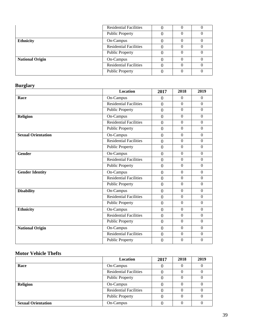|                        | <b>Residential Facilities</b> |  |  |
|------------------------|-------------------------------|--|--|
|                        | <b>Public Property</b>        |  |  |
| <b>Ethnicity</b>       | On-Campus                     |  |  |
|                        | <b>Residential Facilities</b> |  |  |
|                        | <b>Public Property</b>        |  |  |
| <b>National Origin</b> | On-Campus                     |  |  |
|                        | <b>Residential Facilities</b> |  |  |
|                        | <b>Public Property</b>        |  |  |

## **Burglary**

|                           | <b>Location</b>               | 2017             | 2018             | 2019           |
|---------------------------|-------------------------------|------------------|------------------|----------------|
| Race                      | On-Campus                     | $\theta$         | $\mathbf{0}$     | $\Omega$       |
|                           | <b>Residential Facilities</b> | $\overline{0}$   | $\Omega$         | $\theta$       |
|                           | <b>Public Property</b>        | $\overline{0}$   | $\Omega$         | $\Omega$       |
| <b>Religion</b>           | On-Campus                     | $\boldsymbol{0}$ | $\Omega$         | $\Omega$       |
|                           | <b>Residential Facilities</b> | $\overline{0}$   | $\overline{0}$   | $\overline{0}$ |
|                           | <b>Public Property</b>        | $\overline{0}$   | $\overline{0}$   | $\Omega$       |
| <b>Sexual Orientation</b> | On-Campus                     | $\overline{0}$   | $\Omega$         | $\Omega$       |
|                           | <b>Residential Facilities</b> | $\overline{0}$   | $\boldsymbol{0}$ | $\overline{0}$ |
|                           | <b>Public Property</b>        | $\boldsymbol{0}$ | $\Omega$         | $\Omega$       |
| <b>Gender</b>             | On-Campus                     | $\overline{0}$   | $\overline{0}$   | $\mathbf{0}$   |
|                           | <b>Residential Facilities</b> | $\overline{0}$   | $\Omega$         | $\overline{0}$ |
|                           | <b>Public Property</b>        | $\overline{0}$   | $\overline{0}$   | $\overline{0}$ |
| <b>Gender Identity</b>    | On-Campus                     | $\overline{0}$   | $\boldsymbol{0}$ | $\overline{0}$ |
|                           | <b>Residential Facilities</b> | $\boldsymbol{0}$ | $\overline{0}$   | $\overline{0}$ |
|                           | Public Property               | $\overline{0}$   | $\overline{0}$   | $\overline{0}$ |
| <b>Disability</b>         | On-Campus                     | $\boldsymbol{0}$ | $\overline{0}$   | $\overline{0}$ |
|                           | <b>Residential Facilities</b> | $\overline{0}$   | $\overline{0}$   | $\overline{0}$ |
|                           | <b>Public Property</b>        | $\overline{0}$   | $\overline{0}$   | $\overline{0}$ |
| <b>Ethnicity</b>          | $\overline{On}$ -Campus       | $\overline{0}$   | $\Omega$         | $\mathbf{0}$   |
|                           | <b>Residential Facilities</b> | $\boldsymbol{0}$ | $\overline{0}$   | $\overline{0}$ |
|                           | <b>Public Property</b>        | $\overline{0}$   | $\overline{0}$   | $\mathbf{0}$   |
| <b>National Origin</b>    | On-Campus                     | $\overline{0}$   | $\overline{0}$   | $\mathbf{0}$   |
|                           | <b>Residential Facilities</b> | $\boldsymbol{0}$ | $\Omega$         | $\Omega$       |
|                           | <b>Public Property</b>        | $\mathbf{0}$     | $\overline{0}$   | $\theta$       |

## **Motor Vehicle Thefts**

|                           | <b>Location</b>               | 2017 | 2018 | 2019 |
|---------------------------|-------------------------------|------|------|------|
| Race                      | On-Campus                     |      |      |      |
|                           | <b>Residential Facilities</b> |      |      |      |
|                           | <b>Public Property</b>        |      |      |      |
| <b>Religion</b>           | On-Campus                     |      |      |      |
|                           | <b>Residential Facilities</b> |      |      |      |
|                           | <b>Public Property</b>        |      |      |      |
| <b>Sexual Orientation</b> | On-Campus                     |      |      |      |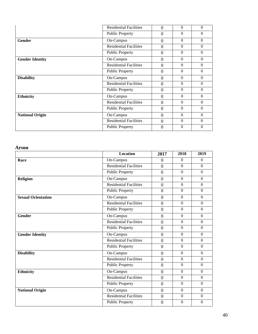|                        | <b>Residential Facilities</b> | 0              | $\Omega$ | $\Omega$ |
|------------------------|-------------------------------|----------------|----------|----------|
|                        | <b>Public Property</b>        | $\theta$       | $\Omega$ | $\Omega$ |
| Gender                 | On-Campus                     | $\Omega$       | $\Omega$ | $\Omega$ |
|                        | Residential Facilities        | $\overline{0}$ | $\Omega$ | $\Omega$ |
|                        | <b>Public Property</b>        | $\overline{0}$ | $\theta$ | $\theta$ |
| <b>Gender Identity</b> | On-Campus                     | $\overline{0}$ | $\Omega$ | $\Omega$ |
|                        | <b>Residential Facilities</b> | $\Omega$       | $\Omega$ | $\Omega$ |
|                        | <b>Public Property</b>        | $\theta$       | $\theta$ | $\Omega$ |
| <b>Disability</b>      | On-Campus                     | $\overline{0}$ | $\Omega$ | $\theta$ |
|                        | <b>Residential Facilities</b> | $\theta$       | $\theta$ | $\Omega$ |
|                        | <b>Public Property</b>        | $\overline{0}$ | $\Omega$ | $\Omega$ |
| <b>Ethnicity</b>       | On-Campus                     | $\Omega$       | $\Omega$ | $\Omega$ |
|                        | <b>Residential Facilities</b> | $\Omega$       | $\Omega$ | $\Omega$ |
|                        | <b>Public Property</b>        | $\overline{0}$ | $\theta$ | $\theta$ |
| <b>National Origin</b> | On-Campus                     | $\overline{0}$ | $\Omega$ | $\Omega$ |
|                        | <b>Residential Facilities</b> | $\Omega$       | $\Omega$ | $\Omega$ |
|                        | <b>Public Property</b>        | $\overline{0}$ | $\Omega$ | $\Omega$ |

#### **Arson**

|                           | <b>Location</b>               | 2017             | 2018             | 2019             |
|---------------------------|-------------------------------|------------------|------------------|------------------|
| Race                      | On-Campus                     | $\theta$         | $\Omega$         | $\Omega$         |
|                           | <b>Residential Facilities</b> | $\overline{0}$   | $\mathbf{0}$     | $\boldsymbol{0}$ |
|                           | <b>Public Property</b>        | $\overline{0}$   | $\mathbf{0}$     | $\boldsymbol{0}$ |
| <b>Religion</b>           | On-Campus                     | $\overline{0}$   | $\overline{0}$   | $\overline{0}$   |
|                           | <b>Residential Facilities</b> | $\overline{0}$   | $\mathbf{0}$     | $\boldsymbol{0}$ |
|                           | <b>Public Property</b>        | $\mathbf{0}$     | $\overline{0}$   | $\overline{0}$   |
| <b>Sexual Orientation</b> | On-Campus                     | $\overline{0}$   | $\overline{0}$   | $\overline{0}$   |
|                           | <b>Residential Facilities</b> | $\mathbf{0}$     | $\mathbf{0}$     | $\boldsymbol{0}$ |
|                           | <b>Public Property</b>        | $\overline{0}$   | $\overline{0}$   | $\overline{0}$   |
| <b>Gender</b>             | On-Campus                     | $\overline{0}$   | $\overline{0}$   | $\overline{0}$   |
|                           | <b>Residential Facilities</b> | $\overline{0}$   | $\mathbf{0}$     | $\boldsymbol{0}$ |
|                           | <b>Public Property</b>        | $\boldsymbol{0}$ | $\overline{0}$   | $\overline{0}$   |
| <b>Gender Identity</b>    | On-Campus                     | $\overline{0}$   | $\overline{0}$   | $\overline{0}$   |
|                           | <b>Residential Facilities</b> | $\overline{0}$   | $\Omega$         | $\overline{0}$   |
|                           | <b>Public Property</b>        | $\overline{0}$   | $\Omega$         | $\Omega$         |
| <b>Disability</b>         | On-Campus                     | $\overline{0}$   | $\mathbf{0}$     | $\boldsymbol{0}$ |
|                           | <b>Residential Facilities</b> | $\overline{0}$   | $\overline{0}$   | $\overline{0}$   |
|                           | <b>Public Property</b>        | $\overline{0}$   | $\overline{0}$   | $\overline{0}$   |
| <b>Ethnicity</b>          | On-Campus                     | $\overline{0}$   | $\boldsymbol{0}$ | $\boldsymbol{0}$ |
|                           | <b>Residential Facilities</b> | $\boldsymbol{0}$ | $\overline{0}$   | $\overline{0}$   |
|                           | <b>Public Property</b>        | $\overline{0}$   | $\overline{0}$   | $\overline{0}$   |
| <b>National Origin</b>    | On-Campus                     | $\overline{0}$   | $\overline{0}$   | $\boldsymbol{0}$ |
|                           | <b>Residential Facilities</b> | $\overline{0}$   | $\Omega$         | $\Omega$         |
|                           | <b>Public Property</b>        | $\overline{0}$   | $\overline{0}$   | $\mathbf{0}$     |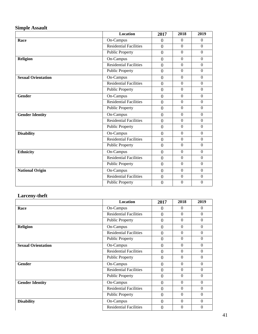### **Simple Assault**

|                           | <b>Location</b>               | 2017             | 2018             | 2019             |
|---------------------------|-------------------------------|------------------|------------------|------------------|
| Race                      | On-Campus                     | $\overline{0}$   | $\Omega$         | $\Omega$         |
|                           | <b>Residential Facilities</b> | $\overline{0}$   | $\Omega$         | $\Omega$         |
|                           | <b>Public Property</b>        | $\overline{0}$   | $\overline{0}$   | $\mathbf{0}$     |
| <b>Religion</b>           | On-Campus                     | $\overline{0}$   | $\overline{0}$   | $\boldsymbol{0}$ |
|                           | <b>Residential Facilities</b> | $\overline{0}$   | $\boldsymbol{0}$ | $\overline{0}$   |
|                           | <b>Public Property</b>        | $\overline{0}$   | $\overline{0}$   | $\mathbf{0}$     |
| <b>Sexual Orientation</b> | On-Campus                     | $\overline{0}$   | $\Omega$         | $\Omega$         |
|                           | <b>Residential Facilities</b> | $\overline{0}$   | $\overline{0}$   | $\boldsymbol{0}$ |
|                           | <b>Public Property</b>        | $\overline{0}$   | $\Omega$         | $\Omega$         |
| <b>Gender</b>             | On-Campus                     | $\overline{0}$   | $\overline{0}$   | $\boldsymbol{0}$ |
|                           | <b>Residential Facilities</b> | $\overline{0}$   | $\overline{0}$   | $\mathbf{0}$     |
|                           | <b>Public Property</b>        | $\overline{0}$   | $\overline{0}$   | $\mathbf{0}$     |
| <b>Gender Identity</b>    | On-Campus                     | $\overline{0}$   | $\overline{0}$   | $\boldsymbol{0}$ |
|                           | <b>Residential Facilities</b> | $\boldsymbol{0}$ | $\overline{0}$   | $\boldsymbol{0}$ |
|                           | <b>Public Property</b>        | $\overline{0}$   | $\overline{0}$   | $\mathbf{0}$     |
| <b>Disability</b>         | On-Campus                     | $\overline{0}$   | $\overline{0}$   | $\mathbf{0}$     |
|                           | <b>Residential Facilities</b> | $\overline{0}$   | $\overline{0}$   | $\boldsymbol{0}$ |
|                           | <b>Public Property</b>        | $\overline{0}$   | $\overline{0}$   | $\mathbf{0}$     |
| <b>Ethnicity</b>          | On-Campus                     | $\overline{0}$   | $\Omega$         | $\overline{0}$   |
|                           | <b>Residential Facilities</b> | $\overline{0}$   | $\overline{0}$   | $\mathbf{0}$     |
|                           | <b>Public Property</b>        | $\overline{0}$   | $\overline{0}$   | $\mathbf{0}$     |
| <b>National Origin</b>    | On-Campus                     | $\overline{0}$   | $\overline{0}$   | $\mathbf{0}$     |
|                           | <b>Residential Facilities</b> | $\boldsymbol{0}$ | $\overline{0}$   | $\boldsymbol{0}$ |
|                           | <b>Public Property</b>        | $\mathbf{0}$     | $\theta$         | $\Omega$         |

#### **Larceny -theft**

|                           | <b>Location</b>               | 2017             | 2018             | 2019         |
|---------------------------|-------------------------------|------------------|------------------|--------------|
| Race                      | On-Campus                     | $\theta$         | $\Omega$         | $\theta$     |
|                           | <b>Residential Facilities</b> | $\overline{0}$   | $\Omega$         | $\Omega$     |
|                           | <b>Public Property</b>        | $\overline{0}$   | $\Omega$         | $\Omega$     |
| <b>Religion</b>           | On-Campus                     | $\overline{0}$   | $\Omega$         | $\Omega$     |
|                           | <b>Residential Facilities</b> | $\overline{0}$   | $\Omega$         | $\Omega$     |
|                           | <b>Public Property</b>        | $\theta$         | $\Omega$         | $\Omega$     |
| <b>Sexual Orientation</b> | On-Campus                     | $\theta$         | $\Omega$         | $\Omega$     |
|                           | <b>Residential Facilities</b> | $\theta$         | $\Omega$         | $\Omega$     |
|                           | <b>Public Property</b>        | $\overline{0}$   | $\Omega$         | $\Omega$     |
| <b>Gender</b>             | On-Campus                     | $\overline{0}$   | $\Omega$         | $\Omega$     |
|                           | <b>Residential Facilities</b> | $\overline{0}$   | $\Omega$         | $\Omega$     |
|                           | <b>Public Property</b>        | $\overline{0}$   | $\Omega$         | $\Omega$     |
| <b>Gender Identity</b>    | On-Campus                     | $\overline{0}$   | $\Omega$         | $\Omega$     |
|                           | <b>Residential Facilities</b> | $\theta$         | $\Omega$         | $\Omega$     |
|                           | <b>Public Property</b>        | $\boldsymbol{0}$ | $\Omega$         | $\Omega$     |
| <b>Disability</b>         | On-Campus                     | $\overline{0}$   | $\Omega$         | $\Omega$     |
|                           | <b>Residential Facilities</b> | $\overline{0}$   | $\boldsymbol{0}$ | $\mathbf{0}$ |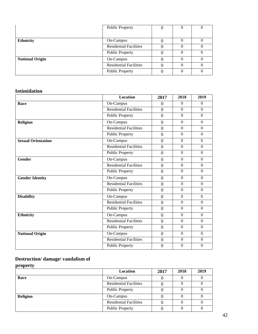|                        | <b>Public Property</b>        |  |  |
|------------------------|-------------------------------|--|--|
| <b>Ethnicity</b>       | On-Campus                     |  |  |
|                        | <b>Residential Facilities</b> |  |  |
|                        | <b>Public Property</b>        |  |  |
| <b>National Origin</b> | On-Campus                     |  |  |
|                        | <b>Residential Facilities</b> |  |  |
|                        | <b>Public Property</b>        |  |  |

## **Intimidation**

|                           | <b>Location</b>               | 2017             | 2018             | 2019             |
|---------------------------|-------------------------------|------------------|------------------|------------------|
| Race                      | On-Campus                     | $\theta$         | $\boldsymbol{0}$ | $\mathbf{0}$     |
|                           | <b>Residential Facilities</b> | $\overline{0}$   | $\overline{0}$   | $\mathbf{0}$     |
|                           | Public Property               | $\overline{0}$   | $\overline{0}$   | $\mathbf{0}$     |
| <b>Religion</b>           | On-Campus                     | $\overline{0}$   | $\overline{0}$   | $\boldsymbol{0}$ |
|                           | <b>Residential Facilities</b> | $\overline{0}$   | $\overline{0}$   | $\mathbf{0}$     |
|                           | <b>Public Property</b>        | $\overline{0}$   | $\overline{0}$   | $\mathbf{0}$     |
| <b>Sexual Orientation</b> | On-Campus                     | $\overline{0}$   | $\Omega$         | $\mathbf{0}$     |
|                           | <b>Residential Facilities</b> | $\overline{0}$   | $\overline{0}$   | $\boldsymbol{0}$ |
|                           | <b>Public Property</b>        | $\overline{0}$   | $\overline{0}$   | $\mathbf{0}$     |
| <b>Gender</b>             | On-Campus                     | $\overline{0}$   | $\overline{0}$   | $\boldsymbol{0}$ |
|                           | <b>Residential Facilities</b> | $\overline{0}$   | $\Omega$         | $\theta$         |
|                           | <b>Public Property</b>        | $\overline{0}$   | $\overline{0}$   | $\Omega$         |
| <b>Gender Identity</b>    | On-Campus                     | $\overline{0}$   | $\overline{0}$   | $\boldsymbol{0}$ |
|                           | <b>Residential Facilities</b> | $\boldsymbol{0}$ | $\overline{0}$   | $\Omega$         |
|                           | <b>Public Property</b>        | $\overline{0}$   | $\overline{0}$   | $\mathbf{0}$     |
| <b>Disability</b>         | On-Campus                     | $\boldsymbol{0}$ | $\overline{0}$   | $\Omega$         |
|                           | <b>Residential Facilities</b> | $\overline{0}$   | $\overline{0}$   | $\mathbf{0}$     |
|                           | <b>Public Property</b>        | $\overline{0}$   | $\Omega$         | $\Omega$         |
| <b>Ethnicity</b>          | On-Campus                     | $\overline{0}$   | $\Omega$         | $\mathbf{0}$     |
|                           | <b>Residential Facilities</b> | $\overline{0}$   | $\overline{0}$   | $\mathbf{0}$     |
|                           | <b>Public Property</b>        | $\overline{0}$   | $\Omega$         | $\Omega$         |
| <b>National Origin</b>    | On-Campus                     | $\overline{0}$   | $\overline{0}$   | $\boldsymbol{0}$ |
|                           | <b>Residential Facilities</b> | $\boldsymbol{0}$ | $\overline{0}$   | $\mathbf{0}$     |
|                           | <b>Public Property</b>        | $\overline{0}$   | $\boldsymbol{0}$ | $\overline{0}$   |

## **Destruction/ damage/ vandalism of**

**property** 

|                 | <b>Location</b>               | 2017 | 2018 | 2019 |
|-----------------|-------------------------------|------|------|------|
| Race            | On-Campus                     |      |      |      |
|                 | <b>Residential Facilities</b> |      |      |      |
|                 | <b>Public Property</b>        |      |      |      |
| <b>Religion</b> | On-Campus                     |      |      |      |
|                 | <b>Residential Facilities</b> |      |      |      |
|                 | <b>Public Property</b>        |      |      |      |